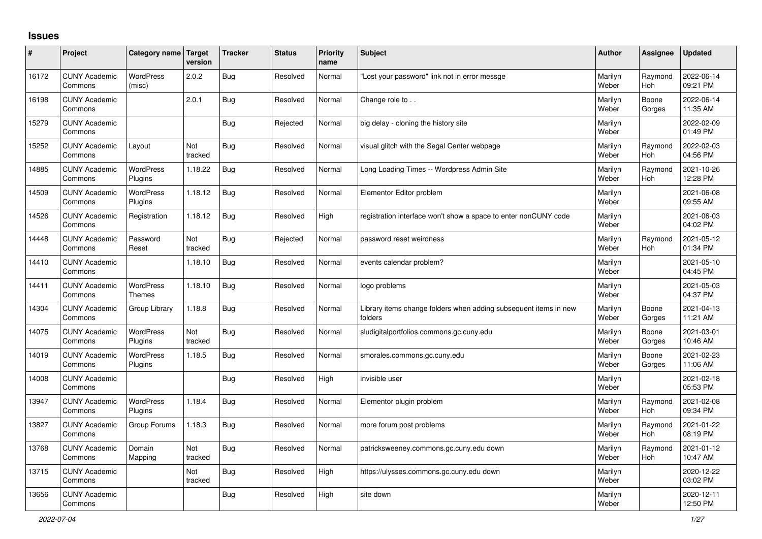## **Issues**

| #     | Project                         | Category name               | Target<br>version | <b>Tracker</b> | <b>Status</b> | Priority<br>name | <b>Subject</b>                                                              | <b>Author</b>    | Assignee              | <b>Updated</b>         |
|-------|---------------------------------|-----------------------------|-------------------|----------------|---------------|------------------|-----------------------------------------------------------------------------|------------------|-----------------------|------------------------|
| 16172 | <b>CUNY Academic</b><br>Commons | <b>WordPress</b><br>(misc)  | 2.0.2             | <b>Bug</b>     | Resolved      | Normal           | 'Lost your password" link not in error messge                               | Marilyn<br>Weber | Raymond<br><b>Hoh</b> | 2022-06-14<br>09:21 PM |
| 16198 | <b>CUNY Academic</b><br>Commons |                             | 2.0.1             | Bug            | Resolved      | Normal           | Change role to                                                              | Marilyn<br>Weber | Boone<br>Gorges       | 2022-06-14<br>11:35 AM |
| 15279 | <b>CUNY Academic</b><br>Commons |                             |                   | Bug            | Rejected      | Normal           | big delay - cloning the history site                                        | Marilyn<br>Weber |                       | 2022-02-09<br>01:49 PM |
| 15252 | <b>CUNY Academic</b><br>Commons | Layout                      | Not<br>tracked    | Bug            | Resolved      | Normal           | visual glitch with the Segal Center webpage                                 | Marilyn<br>Weber | Raymond<br><b>Hoh</b> | 2022-02-03<br>04:56 PM |
| 14885 | <b>CUNY Academic</b><br>Commons | <b>WordPress</b><br>Plugins | 1.18.22           | <b>Bug</b>     | Resolved      | Normal           | Long Loading Times -- Wordpress Admin Site                                  | Marilyn<br>Weber | Raymond<br>Hoh        | 2021-10-26<br>12:28 PM |
| 14509 | <b>CUNY Academic</b><br>Commons | WordPress<br>Plugins        | 1.18.12           | Bug            | Resolved      | Normal           | Elementor Editor problem                                                    | Marilyn<br>Weber |                       | 2021-06-08<br>09:55 AM |
| 14526 | <b>CUNY Academic</b><br>Commons | Registration                | 1.18.12           | Bug            | Resolved      | High             | registration interface won't show a space to enter nonCUNY code             | Marilyn<br>Weber |                       | 2021-06-03<br>04:02 PM |
| 14448 | <b>CUNY Academic</b><br>Commons | Password<br>Reset           | Not<br>tracked    | Bug            | Rejected      | Normal           | password reset weirdness                                                    | Marilyn<br>Weber | Raymond<br><b>Hoh</b> | 2021-05-12<br>01:34 PM |
| 14410 | <b>CUNY Academic</b><br>Commons |                             | 1.18.10           | Bug            | Resolved      | Normal           | events calendar problem?                                                    | Marilyn<br>Weber |                       | 2021-05-10<br>04:45 PM |
| 14411 | <b>CUNY Academic</b><br>Commons | <b>WordPress</b><br>Themes  | 1.18.10           | Bug            | Resolved      | Normal           | logo problems                                                               | Marilyn<br>Weber |                       | 2021-05-03<br>04:37 PM |
| 14304 | <b>CUNY Academic</b><br>Commons | Group Library               | 1.18.8            | Bug            | Resolved      | Normal           | Library items change folders when adding subsequent items in new<br>folders | Marilyn<br>Weber | Boone<br>Gorges       | 2021-04-13<br>11:21 AM |
| 14075 | <b>CUNY Academic</b><br>Commons | <b>WordPress</b><br>Plugins | Not<br>tracked    | Bug            | Resolved      | Normal           | sludigitalportfolios.commons.gc.cuny.edu                                    | Marilyn<br>Weber | Boone<br>Gorges       | 2021-03-01<br>10:46 AM |
| 14019 | <b>CUNY Academic</b><br>Commons | <b>WordPress</b><br>Plugins | 1.18.5            | Bug            | Resolved      | Normal           | smorales.commons.gc.cuny.edu                                                | Marilyn<br>Weber | Boone<br>Gorges       | 2021-02-23<br>11:06 AM |
| 14008 | <b>CUNY Academic</b><br>Commons |                             |                   | Bug            | Resolved      | High             | invisible user                                                              | Marilyn<br>Weber |                       | 2021-02-18<br>05:53 PM |
| 13947 | <b>CUNY Academic</b><br>Commons | WordPress<br>Plugins        | 1.18.4            | <b>Bug</b>     | Resolved      | Normal           | Elementor plugin problem                                                    | Marilyn<br>Weber | Raymond<br>Hoh        | 2021-02-08<br>09:34 PM |
| 13827 | <b>CUNY Academic</b><br>Commons | Group Forums                | 1.18.3            | Bug            | Resolved      | Normal           | more forum post problems                                                    | Marilyn<br>Weber | Raymond<br><b>Hoh</b> | 2021-01-22<br>08:19 PM |
| 13768 | <b>CUNY Academic</b><br>Commons | Domain<br>Mapping           | Not<br>tracked    | Bug            | Resolved      | Normal           | patricksweeney.commons.gc.cuny.edu down                                     | Marilyn<br>Weber | Raymond<br><b>Hoh</b> | 2021-01-12<br>10:47 AM |
| 13715 | <b>CUNY Academic</b><br>Commons |                             | Not<br>tracked    | Bug            | Resolved      | High             | https://ulysses.commons.gc.cuny.edu down                                    | Marilyn<br>Weber |                       | 2020-12-22<br>03:02 PM |
| 13656 | <b>CUNY Academic</b><br>Commons |                             |                   | Bug            | Resolved      | High             | site down                                                                   | Marilyn<br>Weber |                       | 2020-12-11<br>12:50 PM |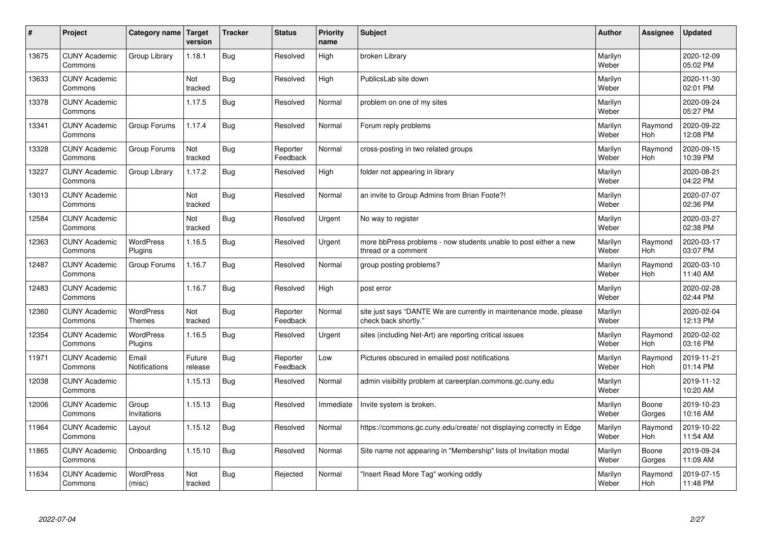| $\pmb{\sharp}$ | Project                         | Category name                     | <b>Target</b><br>version | <b>Tracker</b> | <b>Status</b>        | <b>Priority</b><br>name | <b>Subject</b>                                                                             | <b>Author</b>    | Assignee        | <b>Updated</b>         |
|----------------|---------------------------------|-----------------------------------|--------------------------|----------------|----------------------|-------------------------|--------------------------------------------------------------------------------------------|------------------|-----------------|------------------------|
| 13675          | <b>CUNY Academic</b><br>Commons | Group Library                     | 1.18.1                   | <b>Bug</b>     | Resolved             | High                    | broken Library                                                                             | Marilyn<br>Weber |                 | 2020-12-09<br>05:02 PM |
| 13633          | <b>CUNY Academic</b><br>Commons |                                   | Not<br>tracked           | <b>Bug</b>     | Resolved             | High                    | PublicsLab site down                                                                       | Marilyn<br>Weber |                 | 2020-11-30<br>02:01 PM |
| 13378          | <b>CUNY Academic</b><br>Commons |                                   | 1.17.5                   | <b>Bug</b>     | Resolved             | Normal                  | problem on one of my sites                                                                 | Marilyn<br>Weber |                 | 2020-09-24<br>05:27 PM |
| 13341          | <b>CUNY Academic</b><br>Commons | Group Forums                      | 1.17.4                   | <b>Bug</b>     | Resolved             | Normal                  | Forum reply problems                                                                       | Marilyn<br>Weber | Raymond<br>Hoh  | 2020-09-22<br>12:08 PM |
| 13328          | <b>CUNY Academic</b><br>Commons | Group Forums                      | Not<br>tracked           | <b>Bug</b>     | Reporter<br>Feedback | Normal                  | cross-posting in two related groups                                                        | Marilyn<br>Weber | Raymond<br>Hoh  | 2020-09-15<br>10:39 PM |
| 13227          | <b>CUNY Academic</b><br>Commons | Group Library                     | 1.17.2                   | <b>Bug</b>     | Resolved             | High                    | folder not appearing in library                                                            | Marilyn<br>Weber |                 | 2020-08-21<br>04:22 PM |
| 13013          | <b>CUNY Academic</b><br>Commons |                                   | Not<br>tracked           | <b>Bug</b>     | Resolved             | Normal                  | an invite to Group Admins from Brian Foote?!                                               | Marilyn<br>Weber |                 | 2020-07-07<br>02:36 PM |
| 12584          | <b>CUNY Academic</b><br>Commons |                                   | Not<br>tracked           | <b>Bug</b>     | Resolved             | Urgent                  | No way to register                                                                         | Marilyn<br>Weber |                 | 2020-03-27<br>02:38 PM |
| 12363          | <b>CUNY Academic</b><br>Commons | WordPress<br>Plugins              | 1.16.5                   | <b>Bug</b>     | Resolved             | Urgent                  | more bbPress problems - now students unable to post either a new<br>thread or a comment    | Marilyn<br>Weber | Raymond<br>Hoh  | 2020-03-17<br>03:07 PM |
| 12487          | <b>CUNY Academic</b><br>Commons | Group Forums                      | 1.16.7                   | <b>Bug</b>     | Resolved             | Normal                  | group posting problems?                                                                    | Marilyn<br>Weber | Raymond<br>Hoh  | 2020-03-10<br>11:40 AM |
| 12483          | <b>CUNY Academic</b><br>Commons |                                   | 1.16.7                   | <b>Bug</b>     | Resolved             | High                    | post error                                                                                 | Marilyn<br>Weber |                 | 2020-02-28<br>02:44 PM |
| 12360          | <b>CUNY Academic</b><br>Commons | <b>WordPress</b><br><b>Themes</b> | Not<br>tracked           | <b>Bug</b>     | Reporter<br>Feedback | Normal                  | site just says "DANTE We are currently in maintenance mode, please<br>check back shortly." | Marilyn<br>Weber |                 | 2020-02-04<br>12:13 PM |
| 12354          | <b>CUNY Academic</b><br>Commons | <b>WordPress</b><br>Plugins       | 1.16.5                   | <b>Bug</b>     | Resolved             | Urgent                  | sites (including Net-Art) are reporting critical issues                                    | Marilyn<br>Weber | Raymond<br>Hoh  | 2020-02-02<br>03:16 PM |
| 11971          | <b>CUNY Academic</b><br>Commons | Email<br>Notifications            | Future<br>release        | <b>Bug</b>     | Reporter<br>Feedback | Low                     | Pictures obscured in emailed post notifications                                            | Marilyn<br>Weber | Raymond<br>Hoh  | 2019-11-21<br>01:14 PM |
| 12038          | <b>CUNY Academic</b><br>Commons |                                   | 1.15.13                  | <b>Bug</b>     | Resolved             | Normal                  | admin visibility problem at careerplan.commons.gc.cuny.edu                                 | Marilyn<br>Weber |                 | 2019-11-12<br>10:20 AM |
| 12006          | <b>CUNY Academic</b><br>Commons | Group<br>Invitations              | 1.15.13                  | <b>Bug</b>     | Resolved             | Immediate               | Invite system is broken.                                                                   | Marilyn<br>Weber | Boone<br>Gorges | 2019-10-23<br>10:16 AM |
| 11964          | <b>CUNY Academic</b><br>Commons | Layout                            | 1.15.12                  | <b>Bug</b>     | Resolved             | Normal                  | https://commons.gc.cuny.edu/create/ not displaying correctly in Edge                       | Marilyn<br>Weber | Raymond<br>Hoh  | 2019-10-22<br>11:54 AM |
| 11865          | <b>CUNY Academic</b><br>Commons | Onboarding                        | 1.15.10                  | Bug            | Resolved             | Normal                  | Site name not appearing in "Membership" lists of Invitation modal                          | Marilyn<br>Weber | Boone<br>Gorges | 2019-09-24<br>11:09 AM |
| 11634          | <b>CUNY Academic</b><br>Commons | <b>WordPress</b><br>(misc)        | Not<br>tracked           | <b>Bug</b>     | Rejected             | Normal                  | "Insert Read More Tag" working oddly                                                       | Marilyn<br>Weber | Raymond<br>Hoh  | 2019-07-15<br>11:48 PM |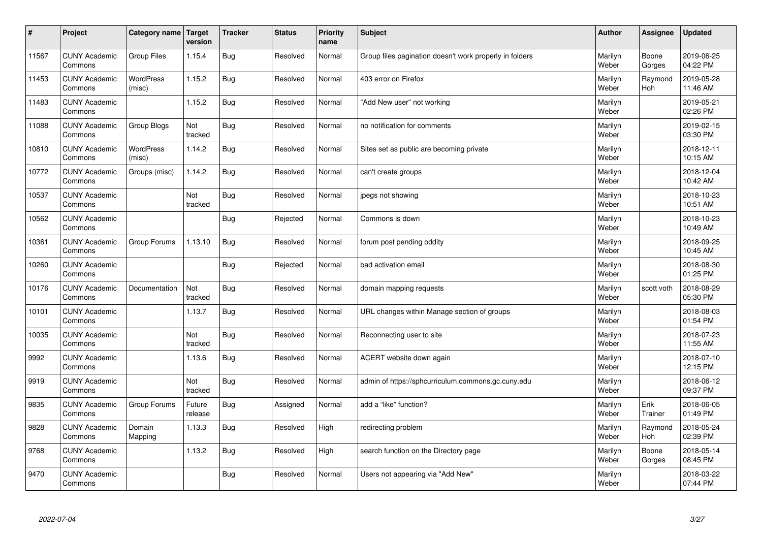| $\sharp$ | Project                         | Category name   Target     | version           | <b>Tracker</b> | <b>Status</b> | <b>Priority</b><br>name | <b>Subject</b>                                          | <b>Author</b>    | Assignee              | <b>Updated</b>         |
|----------|---------------------------------|----------------------------|-------------------|----------------|---------------|-------------------------|---------------------------------------------------------|------------------|-----------------------|------------------------|
| 11567    | <b>CUNY Academic</b><br>Commons | <b>Group Files</b>         | 1.15.4            | Bug            | Resolved      | Normal                  | Group files pagination doesn't work properly in folders | Marilyn<br>Weber | Boone<br>Gorges       | 2019-06-25<br>04:22 PM |
| 11453    | <b>CUNY Academic</b><br>Commons | <b>WordPress</b><br>(misc) | 1.15.2            | Bug            | Resolved      | Normal                  | 403 error on Firefox                                    | Marilyn<br>Weber | Raymond<br><b>Hoh</b> | 2019-05-28<br>11:46 AM |
| 11483    | <b>CUNY Academic</b><br>Commons |                            | 1.15.2            | Bug            | Resolved      | Normal                  | "Add New user" not working                              | Marilyn<br>Weber |                       | 2019-05-21<br>02:26 PM |
| 11088    | <b>CUNY Academic</b><br>Commons | Group Blogs                | Not<br>tracked    | Bug            | Resolved      | Normal                  | no notification for comments                            | Marilyn<br>Weber |                       | 2019-02-15<br>03:30 PM |
| 10810    | <b>CUNY Academic</b><br>Commons | <b>WordPress</b><br>(misc) | 1.14.2            | Bug            | Resolved      | Normal                  | Sites set as public are becoming private                | Marilyn<br>Weber |                       | 2018-12-11<br>10:15 AM |
| 10772    | <b>CUNY Academic</b><br>Commons | Groups (misc)              | 1.14.2            | Bug            | Resolved      | Normal                  | can't create groups                                     | Marilyn<br>Weber |                       | 2018-12-04<br>10:42 AM |
| 10537    | <b>CUNY Academic</b><br>Commons |                            | Not<br>tracked    | Bug            | Resolved      | Normal                  | jpegs not showing                                       | Marilyn<br>Weber |                       | 2018-10-23<br>10:51 AM |
| 10562    | <b>CUNY Academic</b><br>Commons |                            |                   | Bug            | Rejected      | Normal                  | Commons is down                                         | Marilyn<br>Weber |                       | 2018-10-23<br>10:49 AM |
| 10361    | <b>CUNY Academic</b><br>Commons | Group Forums               | 1.13.10           | Bug            | Resolved      | Normal                  | forum post pending oddity                               | Marilyn<br>Weber |                       | 2018-09-25<br>10:45 AM |
| 10260    | <b>CUNY Academic</b><br>Commons |                            |                   | Bug            | Rejected      | Normal                  | bad activation email                                    | Marilyn<br>Weber |                       | 2018-08-30<br>01:25 PM |
| 10176    | <b>CUNY Academic</b><br>Commons | Documentation              | Not<br>tracked    | Bug            | Resolved      | Normal                  | domain mapping requests                                 | Marilyn<br>Weber | scott voth            | 2018-08-29<br>05:30 PM |
| 10101    | <b>CUNY Academic</b><br>Commons |                            | 1.13.7            | Bug            | Resolved      | Normal                  | URL changes within Manage section of groups             | Marilyn<br>Weber |                       | 2018-08-03<br>01:54 PM |
| 10035    | <b>CUNY Academic</b><br>Commons |                            | Not<br>tracked    | Bug            | Resolved      | Normal                  | Reconnecting user to site                               | Marilyn<br>Weber |                       | 2018-07-23<br>11:55 AM |
| 9992     | <b>CUNY Academic</b><br>Commons |                            | 1.13.6            | Bug            | Resolved      | Normal                  | ACERT website down again                                | Marilyn<br>Weber |                       | 2018-07-10<br>12:15 PM |
| 9919     | <b>CUNY Academic</b><br>Commons |                            | Not<br>tracked    | Bug            | Resolved      | Normal                  | admin of https://sphcurriculum.commons.gc.cuny.edu      | Marilyn<br>Weber |                       | 2018-06-12<br>09:37 PM |
| 9835     | <b>CUNY Academic</b><br>Commons | Group Forums               | Future<br>release | Bug            | Assigned      | Normal                  | add a "like" function?                                  | Marilyn<br>Weber | Erik<br>Trainer       | 2018-06-05<br>01:49 PM |
| 9828     | <b>CUNY Academic</b><br>Commons | Domain<br>Mapping          | 1.13.3            | Bug            | Resolved      | High                    | redirecting problem                                     | Marilyn<br>Weber | Raymond<br><b>Hoh</b> | 2018-05-24<br>02:39 PM |
| 9768     | <b>CUNY Academic</b><br>Commons |                            | 1.13.2            | Bug            | Resolved      | High                    | search function on the Directory page                   | Marilyn<br>Weber | Boone<br>Gorges       | 2018-05-14<br>08:45 PM |
| 9470     | <b>CUNY Academic</b><br>Commons |                            |                   | <b>Bug</b>     | Resolved      | Normal                  | Users not appearing via "Add New"                       | Marilyn<br>Weber |                       | 2018-03-22<br>07:44 PM |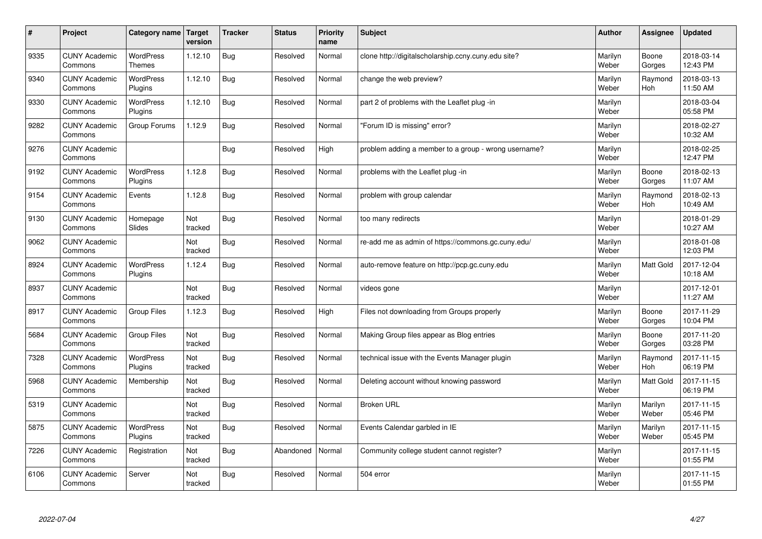| #    | Project                         | Category name   Target            | version        | <b>Tracker</b> | <b>Status</b> | Priority<br>name | <b>Subject</b>                                       | <b>Author</b>    | <b>Assignee</b>       | <b>Updated</b>         |
|------|---------------------------------|-----------------------------------|----------------|----------------|---------------|------------------|------------------------------------------------------|------------------|-----------------------|------------------------|
| 9335 | <b>CUNY Academic</b><br>Commons | <b>WordPress</b><br><b>Themes</b> | 1.12.10        | Bug            | Resolved      | Normal           | clone http://digitalscholarship.ccny.cuny.edu site?  | Marilyn<br>Weber | Boone<br>Gorges       | 2018-03-14<br>12:43 PM |
| 9340 | <b>CUNY Academic</b><br>Commons | <b>WordPress</b><br>Plugins       | 1.12.10        | Bug            | Resolved      | Normal           | change the web preview?                              | Marilyn<br>Weber | Raymond<br>Hoh        | 2018-03-13<br>11:50 AM |
| 9330 | <b>CUNY Academic</b><br>Commons | <b>WordPress</b><br>Plugins       | 1.12.10        | Bug            | Resolved      | Normal           | part 2 of problems with the Leaflet plug-in          | Marilyn<br>Weber |                       | 2018-03-04<br>05:58 PM |
| 9282 | <b>CUNY Academic</b><br>Commons | Group Forums                      | 1.12.9         | Bug            | Resolved      | Normal           | 'Forum ID is missing" error?                         | Marilyn<br>Weber |                       | 2018-02-27<br>10:32 AM |
| 9276 | <b>CUNY Academic</b><br>Commons |                                   |                | Bug            | Resolved      | High             | problem adding a member to a group - wrong username? | Marilyn<br>Weber |                       | 2018-02-25<br>12:47 PM |
| 9192 | <b>CUNY Academic</b><br>Commons | <b>WordPress</b><br>Plugins       | 1.12.8         | Bug            | Resolved      | Normal           | problems with the Leaflet plug -in                   | Marilyn<br>Weber | Boone<br>Gorges       | 2018-02-13<br>11:07 AM |
| 9154 | <b>CUNY Academic</b><br>Commons | Events                            | 1.12.8         | Bug            | Resolved      | Normal           | problem with group calendar                          | Marilyn<br>Weber | Raymond<br><b>Hoh</b> | 2018-02-13<br>10:49 AM |
| 9130 | <b>CUNY Academic</b><br>Commons | Homepage<br>Slides                | Not<br>tracked | Bug            | Resolved      | Normal           | too many redirects                                   | Marilyn<br>Weber |                       | 2018-01-29<br>10:27 AM |
| 9062 | <b>CUNY Academic</b><br>Commons |                                   | Not<br>tracked | Bug            | Resolved      | Normal           | re-add me as admin of https://commons.gc.cuny.edu/   | Marilyn<br>Weber |                       | 2018-01-08<br>12:03 PM |
| 8924 | <b>CUNY Academic</b><br>Commons | <b>WordPress</b><br>Plugins       | 1.12.4         | <b>Bug</b>     | Resolved      | Normal           | auto-remove feature on http://pcp.gc.cuny.edu        | Marilyn<br>Weber | Matt Gold             | 2017-12-04<br>10:18 AM |
| 8937 | <b>CUNY Academic</b><br>Commons |                                   | Not<br>tracked | Bug            | Resolved      | Normal           | videos gone                                          | Marilyn<br>Weber |                       | 2017-12-01<br>11:27 AM |
| 8917 | <b>CUNY Academic</b><br>Commons | <b>Group Files</b>                | 1.12.3         | Bug            | Resolved      | High             | Files not downloading from Groups properly           | Marilyn<br>Weber | Boone<br>Gorges       | 2017-11-29<br>10:04 PM |
| 5684 | <b>CUNY Academic</b><br>Commons | <b>Group Files</b>                | Not<br>tracked | Bug            | Resolved      | Normal           | Making Group files appear as Blog entries            | Marilyn<br>Weber | Boone<br>Gorges       | 2017-11-20<br>03:28 PM |
| 7328 | <b>CUNY Academic</b><br>Commons | WordPress<br>Plugins              | Not<br>tracked | Bug            | Resolved      | Normal           | technical issue with the Events Manager plugin       | Marilyn<br>Weber | Raymond<br><b>Hoh</b> | 2017-11-15<br>06:19 PM |
| 5968 | <b>CUNY Academic</b><br>Commons | Membership                        | Not<br>tracked | Bug            | Resolved      | Normal           | Deleting account without knowing password            | Marilyn<br>Weber | Matt Gold             | 2017-11-15<br>06:19 PM |
| 5319 | <b>CUNY Academic</b><br>Commons |                                   | Not<br>tracked | Bug            | Resolved      | Normal           | <b>Broken URL</b>                                    | Marilyn<br>Weber | Marilyn<br>Weber      | 2017-11-15<br>05:46 PM |
| 5875 | <b>CUNY Academic</b><br>Commons | WordPress<br>Plugins              | Not<br>tracked | Bug            | Resolved      | Normal           | Events Calendar garbled in IE                        | Marilyn<br>Weber | Marilyn<br>Weber      | 2017-11-15<br>05:45 PM |
| 7226 | <b>CUNY Academic</b><br>Commons | Registration                      | Not<br>tracked | Bug            | Abandoned     | Normal           | Community college student cannot register?           | Marilyn<br>Weber |                       | 2017-11-15<br>01:55 PM |
| 6106 | <b>CUNY Academic</b><br>Commons | Server                            | Not<br>tracked | Bug            | Resolved      | Normal           | 504 error                                            | Marilyn<br>Weber |                       | 2017-11-15<br>01:55 PM |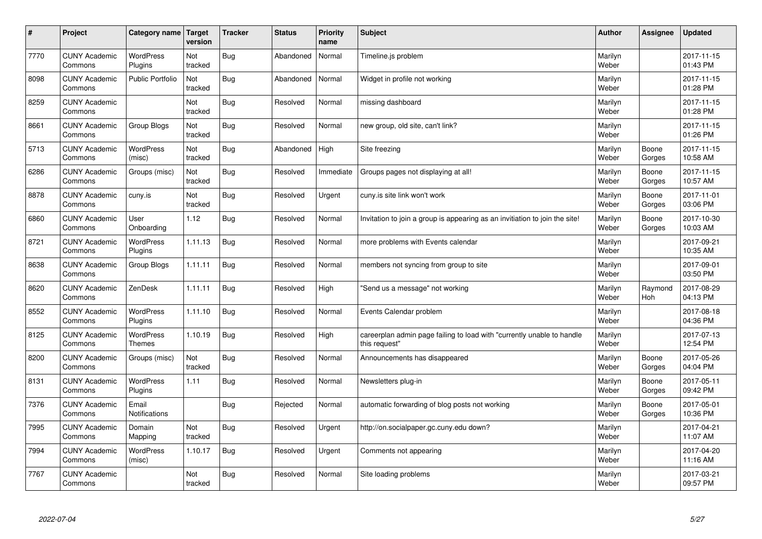| #    | Project                         | Category name   Target            | version        | <b>Tracker</b> | <b>Status</b> | Priority<br>name | <b>Subject</b>                                                                          | <b>Author</b>    | <b>Assignee</b>       | <b>Updated</b>         |
|------|---------------------------------|-----------------------------------|----------------|----------------|---------------|------------------|-----------------------------------------------------------------------------------------|------------------|-----------------------|------------------------|
| 7770 | <b>CUNY Academic</b><br>Commons | <b>WordPress</b><br>Plugins       | Not<br>tracked | Bug            | Abandoned     | Normal           | Timeline.js problem                                                                     | Marilyn<br>Weber |                       | 2017-11-15<br>01:43 PM |
| 8098 | <b>CUNY Academic</b><br>Commons | <b>Public Portfolio</b>           | Not<br>tracked | Bug            | Abandoned     | Normal           | Widget in profile not working                                                           | Marilyn<br>Weber |                       | 2017-11-15<br>01:28 PM |
| 8259 | <b>CUNY Academic</b><br>Commons |                                   | Not<br>tracked | Bug            | Resolved      | Normal           | missing dashboard                                                                       | Marilyn<br>Weber |                       | 2017-11-15<br>01:28 PM |
| 8661 | <b>CUNY Academic</b><br>Commons | Group Blogs                       | Not<br>tracked | Bug            | Resolved      | Normal           | new group, old site, can't link?                                                        | Marilyn<br>Weber |                       | 2017-11-15<br>01:26 PM |
| 5713 | <b>CUNY Academic</b><br>Commons | <b>WordPress</b><br>(misc)        | Not<br>tracked | <b>Bug</b>     | Abandoned     | High             | Site freezing                                                                           | Marilyn<br>Weber | Boone<br>Gorges       | 2017-11-15<br>10:58 AM |
| 6286 | <b>CUNY Academic</b><br>Commons | Groups (misc)                     | Not<br>tracked | Bug            | Resolved      | Immediate        | Groups pages not displaying at all!                                                     | Marilyn<br>Weber | Boone<br>Gorges       | 2017-11-15<br>10:57 AM |
| 8878 | <b>CUNY Academic</b><br>Commons | cuny.is                           | Not<br>tracked | Bug            | Resolved      | Urgent           | cuny is site link won't work                                                            | Marilyn<br>Weber | Boone<br>Gorges       | 2017-11-01<br>03:06 PM |
| 6860 | <b>CUNY Academic</b><br>Commons | User<br>Onboarding                | 1.12           | <b>Bug</b>     | Resolved      | Normal           | Invitation to join a group is appearing as an invitiation to join the site!             | Marilyn<br>Weber | Boone<br>Gorges       | 2017-10-30<br>10:03 AM |
| 8721 | <b>CUNY Academic</b><br>Commons | <b>WordPress</b><br>Plugins       | 1.11.13        | Bug            | Resolved      | Normal           | more problems with Events calendar                                                      | Marilyn<br>Weber |                       | 2017-09-21<br>10:35 AM |
| 8638 | <b>CUNY Academic</b><br>Commons | Group Blogs                       | 1.11.11        | Bug            | Resolved      | Normal           | members not syncing from group to site                                                  | Marilyn<br>Weber |                       | 2017-09-01<br>03:50 PM |
| 8620 | <b>CUNY Academic</b><br>Commons | ZenDesk                           | 1.11.11        | <b>Bug</b>     | Resolved      | High             | 'Send us a message" not working                                                         | Marilyn<br>Weber | Raymond<br><b>Hoh</b> | 2017-08-29<br>04:13 PM |
| 8552 | <b>CUNY Academic</b><br>Commons | <b>WordPress</b><br>Plugins       | 1.11.10        | Bug            | Resolved      | Normal           | Events Calendar problem                                                                 | Marilyn<br>Weber |                       | 2017-08-18<br>04:36 PM |
| 8125 | <b>CUNY Academic</b><br>Commons | <b>WordPress</b><br><b>Themes</b> | 1.10.19        | Bug            | Resolved      | High             | careerplan admin page failing to load with "currently unable to handle<br>this request" | Marilyn<br>Weber |                       | 2017-07-13<br>12:54 PM |
| 8200 | <b>CUNY Academic</b><br>Commons | Groups (misc)                     | Not<br>tracked | Bug            | Resolved      | Normal           | Announcements has disappeared                                                           | Marilyn<br>Weber | Boone<br>Gorges       | 2017-05-26<br>04:04 PM |
| 8131 | <b>CUNY Academic</b><br>Commons | <b>WordPress</b><br>Plugins       | 1.11           | Bug            | Resolved      | Normal           | Newsletters plug-in                                                                     | Marilyn<br>Weber | Boone<br>Gorges       | 2017-05-11<br>09:42 PM |
| 7376 | <b>CUNY Academic</b><br>Commons | Email<br><b>Notifications</b>     |                | Bug            | Rejected      | Normal           | automatic forwarding of blog posts not working                                          | Marilyn<br>Weber | Boone<br>Gorges       | 2017-05-01<br>10:36 PM |
| 7995 | <b>CUNY Academic</b><br>Commons | Domain<br>Mapping                 | Not<br>tracked | Bug            | Resolved      | Urgent           | http://on.socialpaper.gc.cuny.edu down?                                                 | Marilyn<br>Weber |                       | 2017-04-21<br>11:07 AM |
| 7994 | <b>CUNY Academic</b><br>Commons | WordPress<br>(misc)               | 1.10.17        | Bug            | Resolved      | Urgent           | Comments not appearing                                                                  | Marilyn<br>Weber |                       | 2017-04-20<br>11:16 AM |
| 7767 | <b>CUNY Academic</b><br>Commons |                                   | Not<br>tracked | Bug            | Resolved      | Normal           | Site loading problems                                                                   | Marilyn<br>Weber |                       | 2017-03-21<br>09:57 PM |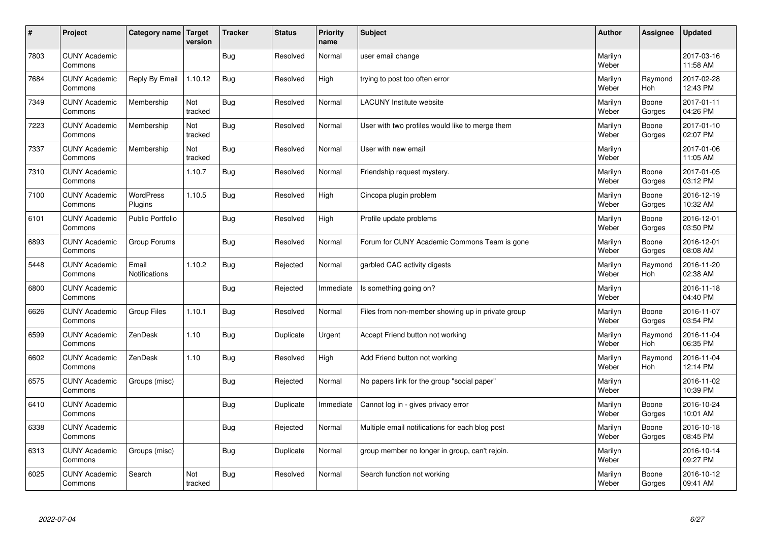| #    | Project                         | Category name   Target        | version        | <b>Tracker</b> | <b>Status</b> | <b>Priority</b><br>name | <b>Subject</b>                                    | <b>Author</b>    | Assignee              | <b>Updated</b>         |
|------|---------------------------------|-------------------------------|----------------|----------------|---------------|-------------------------|---------------------------------------------------|------------------|-----------------------|------------------------|
| 7803 | <b>CUNY Academic</b><br>Commons |                               |                | Bug            | Resolved      | Normal                  | user email change                                 | Marilyn<br>Weber |                       | 2017-03-16<br>11:58 AM |
| 7684 | <b>CUNY Academic</b><br>Commons | Reply By Email                | 1.10.12        | Bug            | Resolved      | High                    | trying to post too often error                    | Marilyn<br>Weber | Raymond<br><b>Hoh</b> | 2017-02-28<br>12:43 PM |
| 7349 | <b>CUNY Academic</b><br>Commons | Membership                    | Not<br>tracked | <b>Bug</b>     | Resolved      | Normal                  | <b>LACUNY Institute website</b>                   | Marilyn<br>Weber | Boone<br>Gorges       | 2017-01-11<br>04:26 PM |
| 7223 | <b>CUNY Academic</b><br>Commons | Membership                    | Not<br>tracked | Bug            | Resolved      | Normal                  | User with two profiles would like to merge them   | Marilyn<br>Weber | Boone<br>Gorges       | 2017-01-10<br>02:07 PM |
| 7337 | <b>CUNY Academic</b><br>Commons | Membership                    | Not<br>tracked | Bug            | Resolved      | Normal                  | User with new email                               | Marilyn<br>Weber |                       | 2017-01-06<br>11:05 AM |
| 7310 | <b>CUNY Academic</b><br>Commons |                               | 1.10.7         | Bug            | Resolved      | Normal                  | Friendship request mystery.                       | Marilyn<br>Weber | Boone<br>Gorges       | 2017-01-05<br>03:12 PM |
| 7100 | <b>CUNY Academic</b><br>Commons | <b>WordPress</b><br>Plugins   | 1.10.5         | Bug            | Resolved      | High                    | Cincopa plugin problem                            | Marilyn<br>Weber | Boone<br>Gorges       | 2016-12-19<br>10:32 AM |
| 6101 | <b>CUNY Academic</b><br>Commons | Public Portfolio              |                | <b>Bug</b>     | Resolved      | High                    | Profile update problems                           | Marilyn<br>Weber | Boone<br>Gorges       | 2016-12-01<br>03:50 PM |
| 6893 | <b>CUNY Academic</b><br>Commons | Group Forums                  |                | Bug            | Resolved      | Normal                  | Forum for CUNY Academic Commons Team is gone      | Marilyn<br>Weber | Boone<br>Gorges       | 2016-12-01<br>08:08 AM |
| 5448 | <b>CUNY Academic</b><br>Commons | Email<br><b>Notifications</b> | 1.10.2         | Bug            | Rejected      | Normal                  | garbled CAC activity digests                      | Marilyn<br>Weber | Raymond<br>Hoh        | 2016-11-20<br>02:38 AM |
| 6800 | <b>CUNY Academic</b><br>Commons |                               |                | <b>Bug</b>     | Rejected      | Immediate               | Is something going on?                            | Marilyn<br>Weber |                       | 2016-11-18<br>04:40 PM |
| 6626 | <b>CUNY Academic</b><br>Commons | <b>Group Files</b>            | 1.10.1         | Bug            | Resolved      | Normal                  | Files from non-member showing up in private group | Marilyn<br>Weber | Boone<br>Gorges       | 2016-11-07<br>03:54 PM |
| 6599 | <b>CUNY Academic</b><br>Commons | ZenDesk                       | 1.10           | Bug            | Duplicate     | Urgent                  | Accept Friend button not working                  | Marilyn<br>Weber | Raymond<br>Hoh        | 2016-11-04<br>06:35 PM |
| 6602 | <b>CUNY Academic</b><br>Commons | ZenDesk                       | 1.10           | Bug            | Resolved      | High                    | Add Friend button not working                     | Marilyn<br>Weber | Raymond<br>Hoh        | 2016-11-04<br>12:14 PM |
| 6575 | <b>CUNY Academic</b><br>Commons | Groups (misc)                 |                | Bug            | Rejected      | Normal                  | No papers link for the group "social paper"       | Marilyn<br>Weber |                       | 2016-11-02<br>10:39 PM |
| 6410 | <b>CUNY Academic</b><br>Commons |                               |                | <b>Bug</b>     | Duplicate     | Immediate               | Cannot log in - gives privacy error               | Marilyn<br>Weber | Boone<br>Gorges       | 2016-10-24<br>10:01 AM |
| 6338 | <b>CUNY Academic</b><br>Commons |                               |                | Bug            | Rejected      | Normal                  | Multiple email notifications for each blog post   | Marilyn<br>Weber | Boone<br>Gorges       | 2016-10-18<br>08:45 PM |
| 6313 | <b>CUNY Academic</b><br>Commons | Groups (misc)                 |                | Bug            | Duplicate     | Normal                  | group member no longer in group, can't rejoin.    | Marilyn<br>Weber |                       | 2016-10-14<br>09:27 PM |
| 6025 | <b>CUNY Academic</b><br>Commons | Search                        | Not<br>tracked | Bug            | Resolved      | Normal                  | Search function not working                       | Marilyn<br>Weber | Boone<br>Gorges       | 2016-10-12<br>09:41 AM |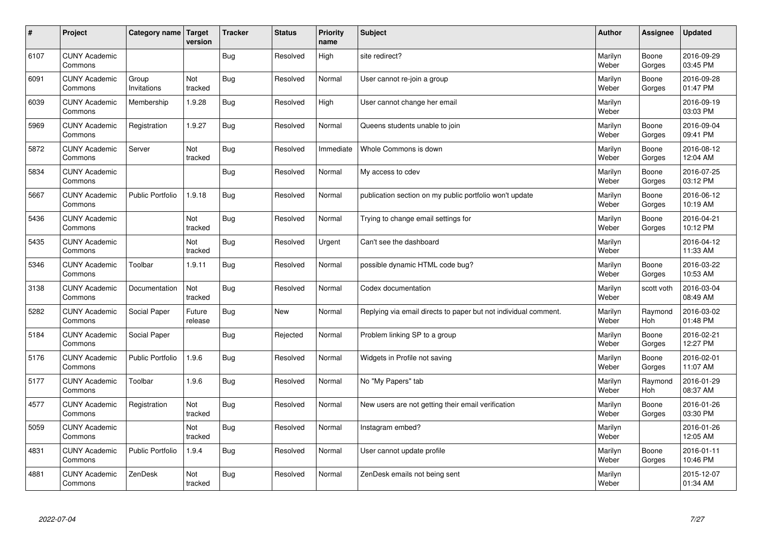| $\sharp$ | Project                         | Category name   Target  | version           | <b>Tracker</b> | <b>Status</b> | <b>Priority</b><br>name | <b>Subject</b>                                                  | <b>Author</b>    | Assignee              | <b>Updated</b>         |
|----------|---------------------------------|-------------------------|-------------------|----------------|---------------|-------------------------|-----------------------------------------------------------------|------------------|-----------------------|------------------------|
| 6107     | <b>CUNY Academic</b><br>Commons |                         |                   | Bug            | Resolved      | High                    | site redirect?                                                  | Marilyn<br>Weber | Boone<br>Gorges       | 2016-09-29<br>03:45 PM |
| 6091     | <b>CUNY Academic</b><br>Commons | Group<br>Invitations    | Not<br>tracked    | Bug            | Resolved      | Normal                  | User cannot re-join a group                                     | Marilyn<br>Weber | Boone<br>Gorges       | 2016-09-28<br>01:47 PM |
| 6039     | <b>CUNY Academic</b><br>Commons | Membership              | 1.9.28            | Bug            | Resolved      | High                    | User cannot change her email                                    | Marilyn<br>Weber |                       | 2016-09-19<br>03:03 PM |
| 5969     | <b>CUNY Academic</b><br>Commons | Registration            | 1.9.27            | <b>Bug</b>     | Resolved      | Normal                  | Queens students unable to join                                  | Marilyn<br>Weber | Boone<br>Gorges       | 2016-09-04<br>09:41 PM |
| 5872     | <b>CUNY Academic</b><br>Commons | Server                  | Not<br>tracked    | Bug            | Resolved      | Immediate               | Whole Commons is down                                           | Marilyn<br>Weber | Boone<br>Gorges       | 2016-08-12<br>12:04 AM |
| 5834     | <b>CUNY Academic</b><br>Commons |                         |                   | Bug            | Resolved      | Normal                  | My access to cdev                                               | Marilyn<br>Weber | Boone<br>Gorges       | 2016-07-25<br>03:12 PM |
| 5667     | <b>CUNY Academic</b><br>Commons | <b>Public Portfolio</b> | 1.9.18            | Bug            | Resolved      | Normal                  | publication section on my public portfolio won't update         | Marilyn<br>Weber | Boone<br>Gorges       | 2016-06-12<br>10:19 AM |
| 5436     | <b>CUNY Academic</b><br>Commons |                         | Not<br>tracked    | Bug            | Resolved      | Normal                  | Trying to change email settings for                             | Marilyn<br>Weber | Boone<br>Gorges       | 2016-04-21<br>10:12 PM |
| 5435     | <b>CUNY Academic</b><br>Commons |                         | Not<br>tracked    | Bug            | Resolved      | Urgent                  | Can't see the dashboard                                         | Marilyn<br>Weber |                       | 2016-04-12<br>11:33 AM |
| 5346     | <b>CUNY Academic</b><br>Commons | Toolbar                 | 1.9.11            | Bug            | Resolved      | Normal                  | possible dynamic HTML code bug?                                 | Marilyn<br>Weber | Boone<br>Gorges       | 2016-03-22<br>10:53 AM |
| 3138     | <b>CUNY Academic</b><br>Commons | Documentation           | Not<br>tracked    | Bug            | Resolved      | Normal                  | Codex documentation                                             | Marilyn<br>Weber | scott voth            | 2016-03-04<br>08:49 AM |
| 5282     | <b>CUNY Academic</b><br>Commons | Social Paper            | Future<br>release | Bug            | <b>New</b>    | Normal                  | Replying via email directs to paper but not individual comment. | Marilyn<br>Weber | Raymond<br><b>Hoh</b> | 2016-03-02<br>01:48 PM |
| 5184     | <b>CUNY Academic</b><br>Commons | Social Paper            |                   | Bug            | Rejected      | Normal                  | Problem linking SP to a group                                   | Marilyn<br>Weber | Boone<br>Gorges       | 2016-02-21<br>12:27 PM |
| 5176     | <b>CUNY Academic</b><br>Commons | Public Portfolio        | 1.9.6             | <b>Bug</b>     | Resolved      | Normal                  | Widgets in Profile not saving                                   | Marilyn<br>Weber | Boone<br>Gorges       | 2016-02-01<br>11:07 AM |
| 5177     | <b>CUNY Academic</b><br>Commons | Toolbar                 | 1.9.6             | Bug            | Resolved      | Normal                  | No "My Papers" tab                                              | Marilyn<br>Weber | Raymond<br><b>Hoh</b> | 2016-01-29<br>08:37 AM |
| 4577     | <b>CUNY Academic</b><br>Commons | Registration            | Not<br>tracked    | <b>Bug</b>     | Resolved      | Normal                  | New users are not getting their email verification              | Marilyn<br>Weber | Boone<br>Gorges       | 2016-01-26<br>03:30 PM |
| 5059     | <b>CUNY Academic</b><br>Commons |                         | Not<br>tracked    | Bug            | Resolved      | Normal                  | Instagram embed?                                                | Marilyn<br>Weber |                       | 2016-01-26<br>12:05 AM |
| 4831     | <b>CUNY Academic</b><br>Commons | Public Portfolio        | 1.9.4             | Bug            | Resolved      | Normal                  | User cannot update profile                                      | Marilyn<br>Weber | Boone<br>Gorges       | 2016-01-11<br>10:46 PM |
| 4881     | <b>CUNY Academic</b><br>Commons | ZenDesk                 | Not<br>tracked    | Bug            | Resolved      | Normal                  | ZenDesk emails not being sent                                   | Marilyn<br>Weber |                       | 2015-12-07<br>01:34 AM |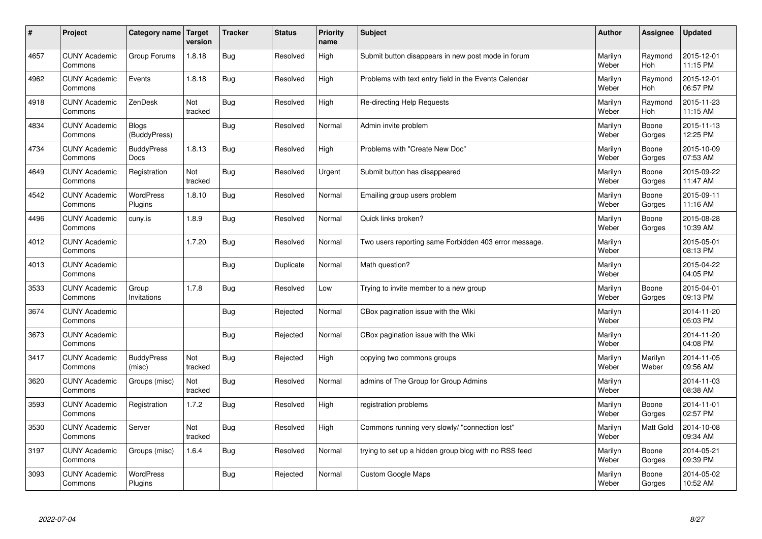| $\sharp$ | Project                         | Category name                | Target<br>version | <b>Tracker</b> | <b>Status</b> | <b>Priority</b><br>name | <b>Subject</b>                                        | <b>Author</b>    | Assignee              | <b>Updated</b>         |
|----------|---------------------------------|------------------------------|-------------------|----------------|---------------|-------------------------|-------------------------------------------------------|------------------|-----------------------|------------------------|
| 4657     | <b>CUNY Academic</b><br>Commons | Group Forums                 | 1.8.18            | Bug            | Resolved      | High                    | Submit button disappears in new post mode in forum    | Marilyn<br>Weber | Raymond<br><b>Hoh</b> | 2015-12-01<br>11:15 PM |
| 4962     | <b>CUNY Academic</b><br>Commons | Events                       | 1.8.18            | Bug            | Resolved      | High                    | Problems with text entry field in the Events Calendar | Marilyn<br>Weber | Raymond<br>Hoh        | 2015-12-01<br>06:57 PM |
| 4918     | <b>CUNY Academic</b><br>Commons | ZenDesk                      | Not<br>tracked    | Bug            | Resolved      | High                    | Re-directing Help Requests                            | Marilyn<br>Weber | Raymond<br><b>Hoh</b> | 2015-11-23<br>11:15 AM |
| 4834     | <b>CUNY Academic</b><br>Commons | <b>Blogs</b><br>(BuddyPress) |                   | Bug            | Resolved      | Normal                  | Admin invite problem                                  | Marilyn<br>Weber | Boone<br>Gorges       | 2015-11-13<br>12:25 PM |
| 4734     | <b>CUNY Academic</b><br>Commons | <b>BuddyPress</b><br>Docs    | 1.8.13            | Bug            | Resolved      | High                    | Problems with "Create New Doc"                        | Marilyn<br>Weber | Boone<br>Gorges       | 2015-10-09<br>07:53 AM |
| 4649     | <b>CUNY Academic</b><br>Commons | Registration                 | Not<br>tracked    | Bug            | Resolved      | Urgent                  | Submit button has disappeared                         | Marilyn<br>Weber | Boone<br>Gorges       | 2015-09-22<br>11:47 AM |
| 4542     | <b>CUNY Academic</b><br>Commons | WordPress<br>Plugins         | 1.8.10            | <b>Bug</b>     | Resolved      | Normal                  | Emailing group users problem                          | Marilyn<br>Weber | Boone<br>Gorges       | 2015-09-11<br>11:16 AM |
| 4496     | <b>CUNY Academic</b><br>Commons | cuny.is                      | 1.8.9             | Bug            | Resolved      | Normal                  | Quick links broken?                                   | Marilyn<br>Weber | Boone<br>Gorges       | 2015-08-28<br>10:39 AM |
| 4012     | <b>CUNY Academic</b><br>Commons |                              | 1.7.20            | Bug            | Resolved      | Normal                  | Two users reporting same Forbidden 403 error message. | Marilyn<br>Weber |                       | 2015-05-01<br>08:13 PM |
| 4013     | <b>CUNY Academic</b><br>Commons |                              |                   | <b>Bug</b>     | Duplicate     | Normal                  | Math question?                                        | Marilyn<br>Weber |                       | 2015-04-22<br>04:05 PM |
| 3533     | <b>CUNY Academic</b><br>Commons | Group<br>Invitations         | 1.7.8             | Bug            | Resolved      | Low                     | Trying to invite member to a new group                | Marilyn<br>Weber | Boone<br>Gorges       | 2015-04-01<br>09:13 PM |
| 3674     | <b>CUNY Academic</b><br>Commons |                              |                   | <b>Bug</b>     | Rejected      | Normal                  | CBox pagination issue with the Wiki                   | Marilyn<br>Weber |                       | 2014-11-20<br>05:03 PM |
| 3673     | <b>CUNY Academic</b><br>Commons |                              |                   | Bug            | Rejected      | Normal                  | CBox pagination issue with the Wiki                   | Marilyn<br>Weber |                       | 2014-11-20<br>04:08 PM |
| 3417     | <b>CUNY Academic</b><br>Commons | <b>BuddyPress</b><br>(misc)  | Not<br>tracked    | Bug            | Rejected      | High                    | copying two commons groups                            | Marilyn<br>Weber | Marilyn<br>Weber      | 2014-11-05<br>09:56 AM |
| 3620     | <b>CUNY Academic</b><br>Commons | Groups (misc)                | Not<br>tracked    | <b>Bug</b>     | Resolved      | Normal                  | admins of The Group for Group Admins                  | Marilyn<br>Weber |                       | 2014-11-03<br>08:38 AM |
| 3593     | <b>CUNY Academic</b><br>Commons | Registration                 | 1.7.2             | Bug            | Resolved      | High                    | registration problems                                 | Marilyn<br>Weber | Boone<br>Gorges       | 2014-11-01<br>02:57 PM |
| 3530     | <b>CUNY Academic</b><br>Commons | Server                       | Not<br>tracked    | Bug            | Resolved      | High                    | Commons running very slowly/ "connection lost"        | Marilyn<br>Weber | Matt Gold             | 2014-10-08<br>09:34 AM |
| 3197     | <b>CUNY Academic</b><br>Commons | Groups (misc)                | 1.6.4             | <b>Bug</b>     | Resolved      | Normal                  | trying to set up a hidden group blog with no RSS feed | Marilyn<br>Weber | Boone<br>Gorges       | 2014-05-21<br>09:39 PM |
| 3093     | <b>CUNY Academic</b><br>Commons | <b>WordPress</b><br>Plugins  |                   | Bug            | Rejected      | Normal                  | <b>Custom Google Maps</b>                             | Marilyn<br>Weber | Boone<br>Gorges       | 2014-05-02<br>10:52 AM |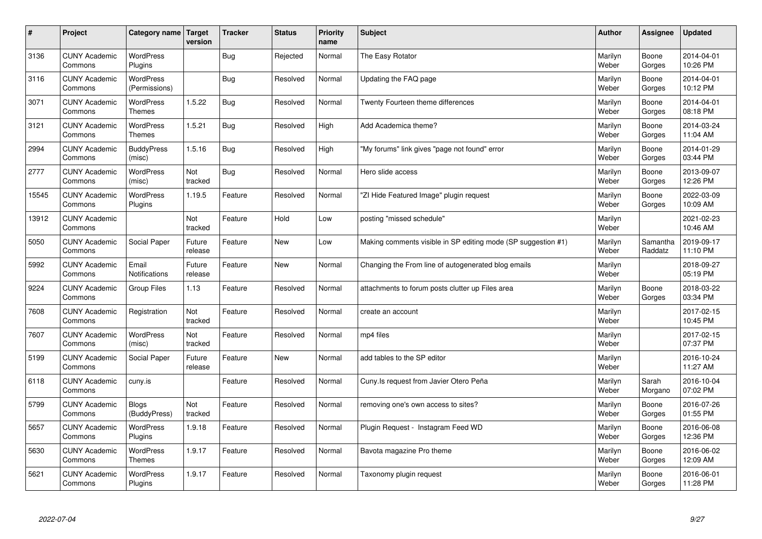| $\sharp$ | Project                         | Category name   Target            | version           | <b>Tracker</b> | <b>Status</b> | <b>Priority</b><br>name | <b>Subject</b>                                                | <b>Author</b>    | Assignee            | <b>Updated</b>         |
|----------|---------------------------------|-----------------------------------|-------------------|----------------|---------------|-------------------------|---------------------------------------------------------------|------------------|---------------------|------------------------|
| 3136     | <b>CUNY Academic</b><br>Commons | <b>WordPress</b><br>Plugins       |                   | Bug            | Rejected      | Normal                  | The Easy Rotator                                              | Marilyn<br>Weber | Boone<br>Gorges     | 2014-04-01<br>10:26 PM |
| 3116     | <b>CUNY Academic</b><br>Commons | WordPress<br>(Permissions)        |                   | Bug            | Resolved      | Normal                  | Updating the FAQ page                                         | Marilyn<br>Weber | Boone<br>Gorges     | 2014-04-01<br>10:12 PM |
| 3071     | <b>CUNY Academic</b><br>Commons | <b>WordPress</b><br><b>Themes</b> | 1.5.22            | <b>Bug</b>     | Resolved      | Normal                  | Twenty Fourteen theme differences                             | Marilyn<br>Weber | Boone<br>Gorges     | 2014-04-01<br>08:18 PM |
| 3121     | <b>CUNY Academic</b><br>Commons | <b>WordPress</b><br><b>Themes</b> | 1.5.21            | <b>Bug</b>     | Resolved      | High                    | Add Academica theme?                                          | Marilyn<br>Weber | Boone<br>Gorges     | 2014-03-24<br>11:04 AM |
| 2994     | <b>CUNY Academic</b><br>Commons | <b>BuddyPress</b><br>(misc)       | 1.5.16            | Bug            | Resolved      | High                    | "My forums" link gives "page not found" error                 | Marilyn<br>Weber | Boone<br>Gorges     | 2014-01-29<br>03:44 PM |
| 2777     | <b>CUNY Academic</b><br>Commons | WordPress<br>(misc)               | Not<br>tracked    | Bug            | Resolved      | Normal                  | Hero slide access                                             | Marilyn<br>Weber | Boone<br>Gorges     | 2013-09-07<br>12:26 PM |
| 15545    | <b>CUNY Academic</b><br>Commons | WordPress<br>Plugins              | 1.19.5            | Feature        | Resolved      | Normal                  | 'ZI Hide Featured Image" plugin request                       | Marilyn<br>Weber | Boone<br>Gorges     | 2022-03-09<br>10:09 AM |
| 13912    | <b>CUNY Academic</b><br>Commons |                                   | Not<br>tracked    | Feature        | Hold          | Low                     | posting "missed schedule"                                     | Marilyn<br>Weber |                     | 2021-02-23<br>10:46 AM |
| 5050     | <b>CUNY Academic</b><br>Commons | Social Paper                      | Future<br>release | Feature        | <b>New</b>    | Low                     | Making comments visible in SP editing mode (SP suggestion #1) | Marilyn<br>Weber | Samantha<br>Raddatz | 2019-09-17<br>11:10 PM |
| 5992     | <b>CUNY Academic</b><br>Commons | Email<br><b>Notifications</b>     | Future<br>release | Feature        | <b>New</b>    | Normal                  | Changing the From line of autogenerated blog emails           | Marilyn<br>Weber |                     | 2018-09-27<br>05:19 PM |
| 9224     | <b>CUNY Academic</b><br>Commons | Group Files                       | 1.13              | Feature        | Resolved      | Normal                  | attachments to forum posts clutter up Files area              | Marilyn<br>Weber | Boone<br>Gorges     | 2018-03-22<br>03:34 PM |
| 7608     | <b>CUNY Academic</b><br>Commons | Registration                      | Not<br>tracked    | Feature        | Resolved      | Normal                  | create an account                                             | Marilyn<br>Weber |                     | 2017-02-15<br>10:45 PM |
| 7607     | <b>CUNY Academic</b><br>Commons | WordPress<br>(misc)               | Not<br>tracked    | Feature        | Resolved      | Normal                  | mp4 files                                                     | Marilyn<br>Weber |                     | 2017-02-15<br>07:37 PM |
| 5199     | <b>CUNY Academic</b><br>Commons | Social Paper                      | Future<br>release | Feature        | <b>New</b>    | Normal                  | add tables to the SP editor                                   | Marilyn<br>Weber |                     | 2016-10-24<br>11:27 AM |
| 6118     | <b>CUNY Academic</b><br>Commons | cuny.is                           |                   | Feature        | Resolved      | Normal                  | Cuny.Is request from Javier Otero Peña                        | Marilyn<br>Weber | Sarah<br>Morgano    | 2016-10-04<br>07:02 PM |
| 5799     | <b>CUNY Academic</b><br>Commons | <b>Blogs</b><br>(BuddyPress)      | Not<br>tracked    | Feature        | Resolved      | Normal                  | removing one's own access to sites?                           | Marilyn<br>Weber | Boone<br>Gorges     | 2016-07-26<br>01:55 PM |
| 5657     | <b>CUNY Academic</b><br>Commons | WordPress<br>Plugins              | 1.9.18            | Feature        | Resolved      | Normal                  | Plugin Request - Instagram Feed WD                            | Marilyn<br>Weber | Boone<br>Gorges     | 2016-06-08<br>12:36 PM |
| 5630     | <b>CUNY Academic</b><br>Commons | WordPress<br><b>Themes</b>        | 1.9.17            | Feature        | Resolved      | Normal                  | Bavota magazine Pro theme                                     | Marilyn<br>Weber | Boone<br>Gorges     | 2016-06-02<br>12:09 AM |
| 5621     | <b>CUNY Academic</b><br>Commons | <b>WordPress</b><br>Plugins       | 1.9.17            | Feature        | Resolved      | Normal                  | Taxonomy plugin request                                       | Marilyn<br>Weber | Boone<br>Gorges     | 2016-06-01<br>11:28 PM |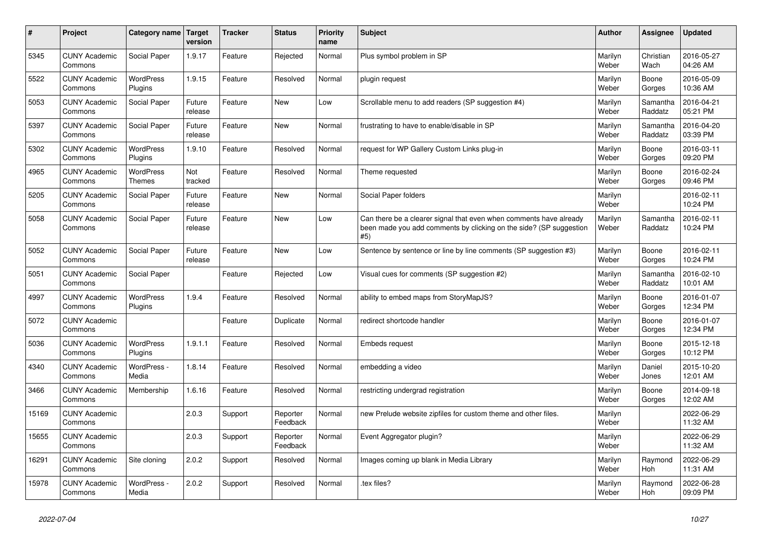| $\vert$ # | <b>Project</b>                  | Category name Target              | version           | <b>Tracker</b> | <b>Status</b>        | <b>Priority</b><br>name | <b>Subject</b>                                                                                                                                  | <b>Author</b>    | Assignee            | <b>Updated</b>         |
|-----------|---------------------------------|-----------------------------------|-------------------|----------------|----------------------|-------------------------|-------------------------------------------------------------------------------------------------------------------------------------------------|------------------|---------------------|------------------------|
| 5345      | <b>CUNY Academic</b><br>Commons | Social Paper                      | 1.9.17            | Feature        | Rejected             | Normal                  | Plus symbol problem in SP                                                                                                                       | Marilyn<br>Weber | Christian<br>Wach   | 2016-05-27<br>04:26 AM |
| 5522      | <b>CUNY Academic</b><br>Commons | <b>WordPress</b><br>Plugins       | 1.9.15            | Feature        | Resolved             | Normal                  | plugin request                                                                                                                                  | Marilyn<br>Weber | Boone<br>Gorges     | 2016-05-09<br>10:36 AM |
| 5053      | <b>CUNY Academic</b><br>Commons | Social Paper                      | Future<br>release | Feature        | <b>New</b>           | Low                     | Scrollable menu to add readers (SP suggestion #4)                                                                                               | Marilyn<br>Weber | Samantha<br>Raddatz | 2016-04-21<br>05:21 PM |
| 5397      | <b>CUNY Academic</b><br>Commons | Social Paper                      | Future<br>release | Feature        | <b>New</b>           | Normal                  | frustrating to have to enable/disable in SP                                                                                                     | Marilyn<br>Weber | Samantha<br>Raddatz | 2016-04-20<br>03:39 PM |
| 5302      | <b>CUNY Academic</b><br>Commons | <b>WordPress</b><br>Plugins       | 1.9.10            | Feature        | Resolved             | Normal                  | request for WP Gallery Custom Links plug-in                                                                                                     | Marilyn<br>Weber | Boone<br>Gorges     | 2016-03-11<br>09:20 PM |
| 4965      | <b>CUNY Academic</b><br>Commons | <b>WordPress</b><br><b>Themes</b> | Not<br>tracked    | Feature        | Resolved             | Normal                  | Theme requested                                                                                                                                 | Marilyn<br>Weber | Boone<br>Gorges     | 2016-02-24<br>09:46 PM |
| 5205      | <b>CUNY Academic</b><br>Commons | Social Paper                      | Future<br>release | Feature        | <b>New</b>           | Normal                  | Social Paper folders                                                                                                                            | Marilyn<br>Weber |                     | 2016-02-11<br>10:24 PM |
| 5058      | <b>CUNY Academic</b><br>Commons | Social Paper                      | Future<br>release | Feature        | New                  | Low                     | Can there be a clearer signal that even when comments have already<br>been made you add comments by clicking on the side? (SP suggestion<br>#5) | Marilyn<br>Weber | Samantha<br>Raddatz | 2016-02-11<br>10:24 PM |
| 5052      | <b>CUNY Academic</b><br>Commons | Social Paper                      | Future<br>release | Feature        | <b>New</b>           | Low                     | Sentence by sentence or line by line comments (SP suggestion #3)                                                                                | Marilyn<br>Weber | Boone<br>Gorges     | 2016-02-11<br>10:24 PM |
| 5051      | <b>CUNY Academic</b><br>Commons | Social Paper                      |                   | Feature        | Rejected             | Low                     | Visual cues for comments (SP suggestion #2)                                                                                                     | Marilyn<br>Weber | Samantha<br>Raddatz | 2016-02-10<br>10:01 AM |
| 4997      | <b>CUNY Academic</b><br>Commons | WordPress<br>Plugins              | 1.9.4             | Feature        | Resolved             | Normal                  | ability to embed maps from StoryMapJS?                                                                                                          | Marilyn<br>Weber | Boone<br>Gorges     | 2016-01-07<br>12:34 PM |
| 5072      | <b>CUNY Academic</b><br>Commons |                                   |                   | Feature        | Duplicate            | Normal                  | redirect shortcode handler                                                                                                                      | Marilyn<br>Weber | Boone<br>Gorges     | 2016-01-07<br>12:34 PM |
| 5036      | <b>CUNY Academic</b><br>Commons | <b>WordPress</b><br>Plugins       | 1.9.1.1           | Feature        | Resolved             | Normal                  | Embeds request                                                                                                                                  | Marilyn<br>Weber | Boone<br>Gorges     | 2015-12-18<br>10:12 PM |
| 4340      | <b>CUNY Academic</b><br>Commons | WordPress -<br>Media              | 1.8.14            | Feature        | Resolved             | Normal                  | embedding a video                                                                                                                               | Marilyn<br>Weber | Daniel<br>Jones     | 2015-10-20<br>12:01 AM |
| 3466      | <b>CUNY Academic</b><br>Commons | Membership                        | 1.6.16            | Feature        | Resolved             | Normal                  | restricting undergrad registration                                                                                                              | Marilyn<br>Weber | Boone<br>Gorges     | 2014-09-18<br>12:02 AM |
| 15169     | <b>CUNY Academic</b><br>Commons |                                   | 2.0.3             | Support        | Reporter<br>Feedback | Normal                  | new Prelude website zipfiles for custom theme and other files.                                                                                  | Marilyn<br>Weber |                     | 2022-06-29<br>11:32 AM |
| 15655     | <b>CUNY Academic</b><br>Commons |                                   | 2.0.3             | Support        | Reporter<br>Feedback | Normal                  | Event Aggregator plugin?                                                                                                                        | Marilyn<br>Weber |                     | 2022-06-29<br>11:32 AM |
| 16291     | <b>CUNY Academic</b><br>Commons | Site cloning                      | 2.0.2             | Support        | Resolved             | Normal                  | Images coming up blank in Media Library                                                                                                         | Marilyn<br>Weber | Raymond<br>Hoh      | 2022-06-29<br>11:31 AM |
| 15978     | <b>CUNY Academic</b><br>Commons | WordPress -<br>Media              | 2.0.2             | Support        | Resolved             | Normal                  | .tex files?                                                                                                                                     | Marilyn<br>Weber | Raymond<br>Hoh      | 2022-06-28<br>09:09 PM |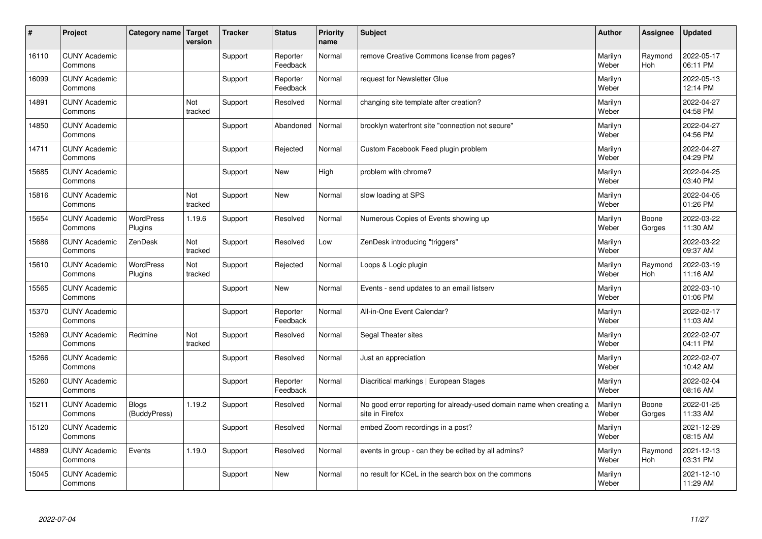| $\vert$ # | Project                         | Category name   Target       | version        | <b>Tracker</b> | <b>Status</b>        | <b>Priority</b><br>name | <b>Subject</b>                                                                          | <b>Author</b>    | Assignee              | <b>Updated</b>         |
|-----------|---------------------------------|------------------------------|----------------|----------------|----------------------|-------------------------|-----------------------------------------------------------------------------------------|------------------|-----------------------|------------------------|
| 16110     | <b>CUNY Academic</b><br>Commons |                              |                | Support        | Reporter<br>Feedback | Normal                  | remove Creative Commons license from pages?                                             | Marilyn<br>Weber | Raymond<br><b>Hoh</b> | 2022-05-17<br>06:11 PM |
| 16099     | <b>CUNY Academic</b><br>Commons |                              |                | Support        | Reporter<br>Feedback | Normal                  | request for Newsletter Glue                                                             | Marilyn<br>Weber |                       | 2022-05-13<br>12:14 PM |
| 14891     | <b>CUNY Academic</b><br>Commons |                              | Not<br>tracked | Support        | Resolved             | Normal                  | changing site template after creation?                                                  | Marilyn<br>Weber |                       | 2022-04-27<br>04:58 PM |
| 14850     | <b>CUNY Academic</b><br>Commons |                              |                | Support        | Abandoned            | Normal                  | brooklyn waterfront site "connection not secure"                                        | Marilyn<br>Weber |                       | 2022-04-27<br>04:56 PM |
| 14711     | <b>CUNY Academic</b><br>Commons |                              |                | Support        | Rejected             | Normal                  | Custom Facebook Feed plugin problem                                                     | Marilyn<br>Weber |                       | 2022-04-27<br>04:29 PM |
| 15685     | <b>CUNY Academic</b><br>Commons |                              |                | Support        | <b>New</b>           | High                    | problem with chrome?                                                                    | Marilyn<br>Weber |                       | 2022-04-25<br>03:40 PM |
| 15816     | <b>CUNY Academic</b><br>Commons |                              | Not<br>tracked | Support        | <b>New</b>           | Normal                  | slow loading at SPS                                                                     | Marilyn<br>Weber |                       | 2022-04-05<br>01:26 PM |
| 15654     | <b>CUNY Academic</b><br>Commons | <b>WordPress</b><br>Plugins  | 1.19.6         | Support        | Resolved             | Normal                  | Numerous Copies of Events showing up                                                    | Marilyn<br>Weber | Boone<br>Gorges       | 2022-03-22<br>11:30 AM |
| 15686     | <b>CUNY Academic</b><br>Commons | ZenDesk                      | Not<br>tracked | Support        | Resolved             | Low                     | ZenDesk introducing "triggers"                                                          | Marilyn<br>Weber |                       | 2022-03-22<br>09:37 AM |
| 15610     | <b>CUNY Academic</b><br>Commons | WordPress<br>Plugins         | Not<br>tracked | Support        | Rejected             | Normal                  | Loops & Logic plugin                                                                    | Marilyn<br>Weber | Raymond<br>Hoh        | 2022-03-19<br>11:16 AM |
| 15565     | <b>CUNY Academic</b><br>Commons |                              |                | Support        | <b>New</b>           | Normal                  | Events - send updates to an email listserv                                              | Marilyn<br>Weber |                       | 2022-03-10<br>01:06 PM |
| 15370     | <b>CUNY Academic</b><br>Commons |                              |                | Support        | Reporter<br>Feedback | Normal                  | All-in-One Event Calendar?                                                              | Marilyn<br>Weber |                       | 2022-02-17<br>11:03 AM |
| 15269     | <b>CUNY Academic</b><br>Commons | Redmine                      | Not<br>tracked | Support        | Resolved             | Normal                  | Segal Theater sites                                                                     | Marilyn<br>Weber |                       | 2022-02-07<br>04:11 PM |
| 15266     | <b>CUNY Academic</b><br>Commons |                              |                | Support        | Resolved             | Normal                  | Just an appreciation                                                                    | Marilyn<br>Weber |                       | 2022-02-07<br>10:42 AM |
| 15260     | <b>CUNY Academic</b><br>Commons |                              |                | Support        | Reporter<br>Feedback | Normal                  | Diacritical markings   European Stages                                                  | Marilyn<br>Weber |                       | 2022-02-04<br>08:16 AM |
| 15211     | <b>CUNY Academic</b><br>Commons | <b>Blogs</b><br>(BuddyPress) | 1.19.2         | Support        | Resolved             | Normal                  | No good error reporting for already-used domain name when creating a<br>site in Firefox | Marilyn<br>Weber | Boone<br>Gorges       | 2022-01-25<br>11:33 AM |
| 15120     | <b>CUNY Academic</b><br>Commons |                              |                | Support        | Resolved             | Normal                  | embed Zoom recordings in a post?                                                        | Marilyn<br>Weber |                       | 2021-12-29<br>08:15 AM |
| 14889     | <b>CUNY Academic</b><br>Commons | Events                       | 1.19.0         | Support        | Resolved             | Normal                  | events in group - can they be edited by all admins?                                     | Marilyn<br>Weber | Raymond<br>Hoh        | 2021-12-13<br>03:31 PM |
| 15045     | <b>CUNY Academic</b><br>Commons |                              |                | Support        | <b>New</b>           | Normal                  | no result for KCeL in the search box on the commons                                     | Marilyn<br>Weber |                       | 2021-12-10<br>11:29 AM |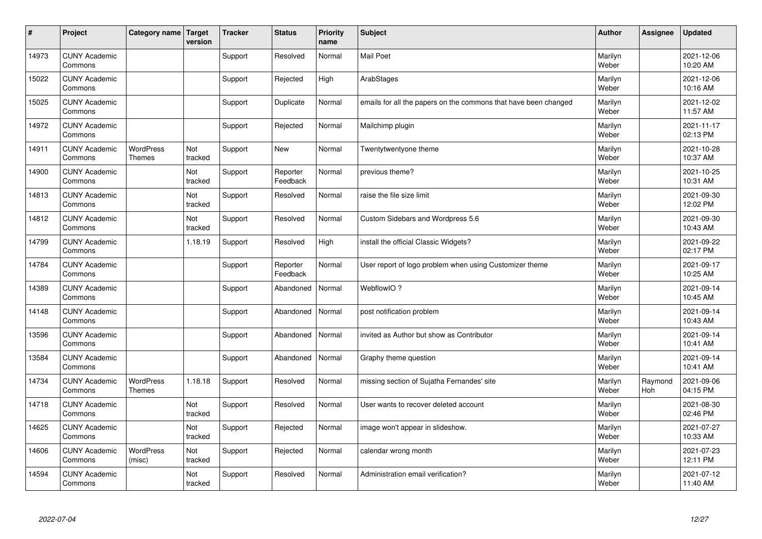| #     | Project                         | Category name   Target            | version        | <b>Tracker</b> | <b>Status</b>        | <b>Priority</b><br>name | <b>Subject</b>                                                  | <b>Author</b>    | <b>Assignee</b> | <b>Updated</b>         |
|-------|---------------------------------|-----------------------------------|----------------|----------------|----------------------|-------------------------|-----------------------------------------------------------------|------------------|-----------------|------------------------|
| 14973 | <b>CUNY Academic</b><br>Commons |                                   |                | Support        | Resolved             | Normal                  | <b>Mail Poet</b>                                                | Marilyn<br>Weber |                 | 2021-12-06<br>10:20 AM |
| 15022 | <b>CUNY Academic</b><br>Commons |                                   |                | Support        | Rejected             | High                    | ArabStages                                                      | Marilyn<br>Weber |                 | 2021-12-06<br>10:16 AM |
| 15025 | <b>CUNY Academic</b><br>Commons |                                   |                | Support        | Duplicate            | Normal                  | emails for all the papers on the commons that have been changed | Marilyn<br>Weber |                 | 2021-12-02<br>11:57 AM |
| 14972 | <b>CUNY Academic</b><br>Commons |                                   |                | Support        | Rejected             | Normal                  | Mailchimp plugin                                                | Marilyn<br>Weber |                 | 2021-11-17<br>02:13 PM |
| 14911 | <b>CUNY Academic</b><br>Commons | <b>WordPress</b><br><b>Themes</b> | Not<br>tracked | Support        | <b>New</b>           | Normal                  | Twentytwentyone theme                                           | Marilyn<br>Weber |                 | 2021-10-28<br>10:37 AM |
| 14900 | <b>CUNY Academic</b><br>Commons |                                   | Not<br>tracked | Support        | Reporter<br>Feedback | Normal                  | previous theme?                                                 | Marilyn<br>Weber |                 | 2021-10-25<br>10:31 AM |
| 14813 | <b>CUNY Academic</b><br>Commons |                                   | Not<br>tracked | Support        | Resolved             | Normal                  | raise the file size limit                                       | Marilyn<br>Weber |                 | 2021-09-30<br>12:02 PM |
| 14812 | <b>CUNY Academic</b><br>Commons |                                   | Not<br>tracked | Support        | Resolved             | Normal                  | Custom Sidebars and Wordpress 5.6                               | Marilyn<br>Weber |                 | 2021-09-30<br>10:43 AM |
| 14799 | <b>CUNY Academic</b><br>Commons |                                   | 1.18.19        | Support        | Resolved             | High                    | install the official Classic Widgets?                           | Marilyn<br>Weber |                 | 2021-09-22<br>02:17 PM |
| 14784 | <b>CUNY Academic</b><br>Commons |                                   |                | Support        | Reporter<br>Feedback | Normal                  | User report of logo problem when using Customizer theme         | Marilyn<br>Weber |                 | 2021-09-17<br>10:25 AM |
| 14389 | <b>CUNY Academic</b><br>Commons |                                   |                | Support        | Abandoned            | Normal                  | WebflowIO?                                                      | Marilyn<br>Weber |                 | 2021-09-14<br>10:45 AM |
| 14148 | <b>CUNY Academic</b><br>Commons |                                   |                | Support        | Abandoned            | Normal                  | post notification problem                                       | Marilyn<br>Weber |                 | 2021-09-14<br>10:43 AM |
| 13596 | <b>CUNY Academic</b><br>Commons |                                   |                | Support        | Abandoned            | Normal                  | invited as Author but show as Contributor                       | Marilyn<br>Weber |                 | 2021-09-14<br>10:41 AM |
| 13584 | <b>CUNY Academic</b><br>Commons |                                   |                | Support        | Abandoned            | Normal                  | Graphy theme question                                           | Marilyn<br>Weber |                 | 2021-09-14<br>10:41 AM |
| 14734 | <b>CUNY Academic</b><br>Commons | <b>WordPress</b><br>Themes        | 1.18.18        | Support        | Resolved             | Normal                  | missing section of Sujatha Fernandes' site                      | Marilyn<br>Weber | Raymond<br>Hoh  | 2021-09-06<br>04:15 PM |
| 14718 | <b>CUNY Academic</b><br>Commons |                                   | Not<br>tracked | Support        | Resolved             | Normal                  | User wants to recover deleted account                           | Marilyn<br>Weber |                 | 2021-08-30<br>02:46 PM |
| 14625 | <b>CUNY Academic</b><br>Commons |                                   | Not<br>tracked | Support        | Rejected             | Normal                  | image won't appear in slideshow.                                | Marilyn<br>Weber |                 | 2021-07-27<br>10:33 AM |
| 14606 | <b>CUNY Academic</b><br>Commons | <b>WordPress</b><br>(misc)        | Not<br>tracked | Support        | Rejected             | Normal                  | calendar wrong month                                            | Marilyn<br>Weber |                 | 2021-07-23<br>12:11 PM |
| 14594 | <b>CUNY Academic</b><br>Commons |                                   | Not<br>tracked | Support        | Resolved             | Normal                  | Administration email verification?                              | Marilyn<br>Weber |                 | 2021-07-12<br>11:40 AM |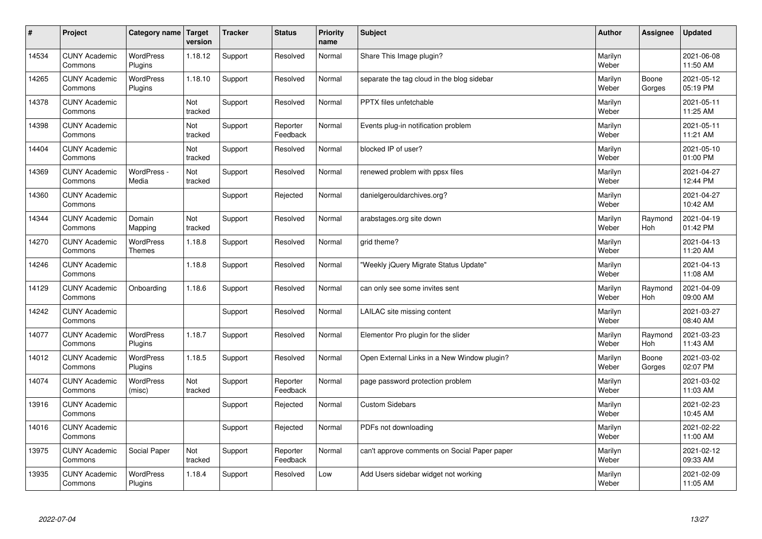| #     | Project                         | Category name   Target      | version        | <b>Tracker</b> | <b>Status</b>        | Priority<br>name | <b>Subject</b>                               | <b>Author</b>    | <b>Assignee</b>       | <b>Updated</b>         |
|-------|---------------------------------|-----------------------------|----------------|----------------|----------------------|------------------|----------------------------------------------|------------------|-----------------------|------------------------|
| 14534 | <b>CUNY Academic</b><br>Commons | <b>WordPress</b><br>Plugins | 1.18.12        | Support        | Resolved             | Normal           | Share This Image plugin?                     | Marilyn<br>Weber |                       | 2021-06-08<br>11:50 AM |
| 14265 | <b>CUNY Academic</b><br>Commons | WordPress<br>Plugins        | 1.18.10        | Support        | Resolved             | Normal           | separate the tag cloud in the blog sidebar   | Marilyn<br>Weber | Boone<br>Gorges       | 2021-05-12<br>05:19 PM |
| 14378 | <b>CUNY Academic</b><br>Commons |                             | Not<br>tracked | Support        | Resolved             | Normal           | PPTX files unfetchable                       | Marilyn<br>Weber |                       | 2021-05-11<br>11:25 AM |
| 14398 | <b>CUNY Academic</b><br>Commons |                             | Not<br>tracked | Support        | Reporter<br>Feedback | Normal           | Events plug-in notification problem          | Marilyn<br>Weber |                       | 2021-05-11<br>11:21 AM |
| 14404 | <b>CUNY Academic</b><br>Commons |                             | Not<br>tracked | Support        | Resolved             | Normal           | blocked IP of user?                          | Marilyn<br>Weber |                       | 2021-05-10<br>01:00 PM |
| 14369 | <b>CUNY Academic</b><br>Commons | WordPress -<br>Media        | Not<br>tracked | Support        | Resolved             | Normal           | renewed problem with ppsx files              | Marilyn<br>Weber |                       | 2021-04-27<br>12:44 PM |
| 14360 | <b>CUNY Academic</b><br>Commons |                             |                | Support        | Rejected             | Normal           | danielgerouldarchives.org?                   | Marilyn<br>Weber |                       | 2021-04-27<br>10:42 AM |
| 14344 | <b>CUNY Academic</b><br>Commons | Domain<br>Mapping           | Not<br>tracked | Support        | Resolved             | Normal           | arabstages.org site down                     | Marilyn<br>Weber | Raymond<br>Hoh        | 2021-04-19<br>01:42 PM |
| 14270 | <b>CUNY Academic</b><br>Commons | WordPress<br><b>Themes</b>  | 1.18.8         | Support        | Resolved             | Normal           | grid theme?                                  | Marilyn<br>Weber |                       | 2021-04-13<br>11:20 AM |
| 14246 | <b>CUNY Academic</b><br>Commons |                             | 1.18.8         | Support        | Resolved             | Normal           | 'Weekly jQuery Migrate Status Update"        | Marilyn<br>Weber |                       | 2021-04-13<br>11:08 AM |
| 14129 | <b>CUNY Academic</b><br>Commons | Onboarding                  | 1.18.6         | Support        | Resolved             | Normal           | can only see some invites sent               | Marilyn<br>Weber | Raymond<br>Hoh        | 2021-04-09<br>09:00 AM |
| 14242 | <b>CUNY Academic</b><br>Commons |                             |                | Support        | Resolved             | Normal           | LAILAC site missing content                  | Marilyn<br>Weber |                       | 2021-03-27<br>08:40 AM |
| 14077 | <b>CUNY Academic</b><br>Commons | <b>WordPress</b><br>Plugins | 1.18.7         | Support        | Resolved             | Normal           | Elementor Pro plugin for the slider          | Marilyn<br>Weber | Raymond<br><b>Hoh</b> | 2021-03-23<br>11:43 AM |
| 14012 | <b>CUNY Academic</b><br>Commons | WordPress<br>Plugins        | 1.18.5         | Support        | Resolved             | Normal           | Open External Links in a New Window plugin?  | Marilyn<br>Weber | Boone<br>Gorges       | 2021-03-02<br>02:07 PM |
| 14074 | <b>CUNY Academic</b><br>Commons | WordPress<br>(misc)         | Not<br>tracked | Support        | Reporter<br>Feedback | Normal           | page password protection problem             | Marilyn<br>Weber |                       | 2021-03-02<br>11:03 AM |
| 13916 | <b>CUNY Academic</b><br>Commons |                             |                | Support        | Rejected             | Normal           | <b>Custom Sidebars</b>                       | Marilyn<br>Weber |                       | 2021-02-23<br>10:45 AM |
| 14016 | <b>CUNY Academic</b><br>Commons |                             |                | Support        | Rejected             | Normal           | PDFs not downloading                         | Marilyn<br>Weber |                       | 2021-02-22<br>11:00 AM |
| 13975 | <b>CUNY Academic</b><br>Commons | Social Paper                | Not<br>tracked | Support        | Reporter<br>Feedback | Normal           | can't approve comments on Social Paper paper | Marilyn<br>Weber |                       | 2021-02-12<br>09:33 AM |
| 13935 | <b>CUNY Academic</b><br>Commons | <b>WordPress</b><br>Plugins | 1.18.4         | Support        | Resolved             | Low              | Add Users sidebar widget not working         | Marilyn<br>Weber |                       | 2021-02-09<br>11:05 AM |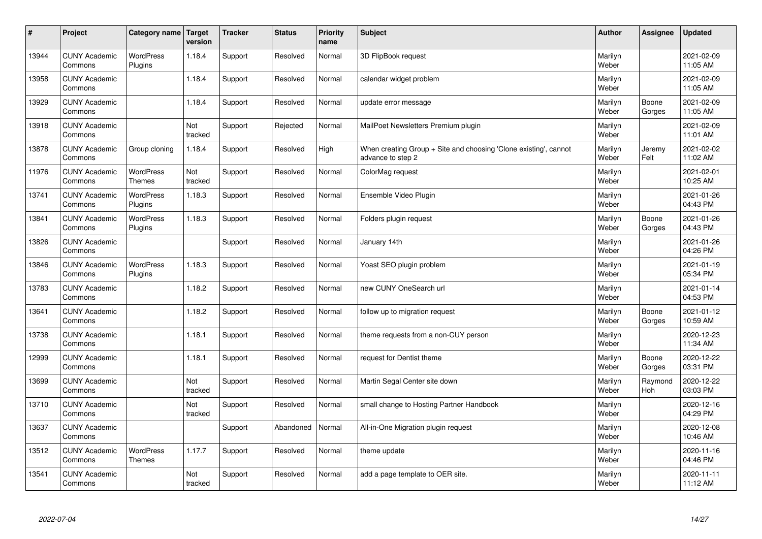| $\sharp$ | Project                         | Category name   Target            | version        | <b>Tracker</b> | <b>Status</b> | <b>Priority</b><br>name | <b>Subject</b>                                                                        | <b>Author</b>    | <b>Assignee</b>       | <b>Updated</b>         |
|----------|---------------------------------|-----------------------------------|----------------|----------------|---------------|-------------------------|---------------------------------------------------------------------------------------|------------------|-----------------------|------------------------|
| 13944    | <b>CUNY Academic</b><br>Commons | <b>WordPress</b><br>Plugins       | 1.18.4         | Support        | Resolved      | Normal                  | 3D FlipBook request                                                                   | Marilyn<br>Weber |                       | 2021-02-09<br>11:05 AM |
| 13958    | <b>CUNY Academic</b><br>Commons |                                   | 1.18.4         | Support        | Resolved      | Normal                  | calendar widget problem                                                               | Marilyn<br>Weber |                       | 2021-02-09<br>11:05 AM |
| 13929    | <b>CUNY Academic</b><br>Commons |                                   | 1.18.4         | Support        | Resolved      | Normal                  | update error message                                                                  | Marilyn<br>Weber | Boone<br>Gorges       | 2021-02-09<br>11:05 AM |
| 13918    | <b>CUNY Academic</b><br>Commons |                                   | Not<br>tracked | Support        | Rejected      | Normal                  | MailPoet Newsletters Premium plugin                                                   | Marilyn<br>Weber |                       | 2021-02-09<br>11:01 AM |
| 13878    | <b>CUNY Academic</b><br>Commons | Group cloning                     | 1.18.4         | Support        | Resolved      | High                    | When creating Group + Site and choosing 'Clone existing', cannot<br>advance to step 2 | Marilyn<br>Weber | Jeremy<br>Felt        | 2021-02-02<br>11:02 AM |
| 11976    | <b>CUNY Academic</b><br>Commons | <b>WordPress</b><br><b>Themes</b> | Not<br>tracked | Support        | Resolved      | Normal                  | ColorMag request                                                                      | Marilyn<br>Weber |                       | 2021-02-01<br>10:25 AM |
| 13741    | <b>CUNY Academic</b><br>Commons | <b>WordPress</b><br>Plugins       | 1.18.3         | Support        | Resolved      | Normal                  | Ensemble Video Plugin                                                                 | Marilyn<br>Weber |                       | 2021-01-26<br>04:43 PM |
| 13841    | <b>CUNY Academic</b><br>Commons | WordPress<br>Plugins              | 1.18.3         | Support        | Resolved      | Normal                  | Folders plugin request                                                                | Marilyn<br>Weber | Boone<br>Gorges       | 2021-01-26<br>04:43 PM |
| 13826    | <b>CUNY Academic</b><br>Commons |                                   |                | Support        | Resolved      | Normal                  | January 14th                                                                          | Marilyn<br>Weber |                       | 2021-01-26<br>04:26 PM |
| 13846    | <b>CUNY Academic</b><br>Commons | WordPress<br>Plugins              | 1.18.3         | Support        | Resolved      | Normal                  | Yoast SEO plugin problem                                                              | Marilyn<br>Weber |                       | 2021-01-19<br>05:34 PM |
| 13783    | <b>CUNY Academic</b><br>Commons |                                   | 1.18.2         | Support        | Resolved      | Normal                  | new CUNY OneSearch url                                                                | Marilyn<br>Weber |                       | 2021-01-14<br>04:53 PM |
| 13641    | <b>CUNY Academic</b><br>Commons |                                   | 1.18.2         | Support        | Resolved      | Normal                  | follow up to migration request                                                        | Marilyn<br>Weber | Boone<br>Gorges       | 2021-01-12<br>10:59 AM |
| 13738    | <b>CUNY Academic</b><br>Commons |                                   | 1.18.1         | Support        | Resolved      | Normal                  | theme requests from a non-CUY person                                                  | Marilyn<br>Weber |                       | 2020-12-23<br>11:34 AM |
| 12999    | <b>CUNY Academic</b><br>Commons |                                   | 1.18.1         | Support        | Resolved      | Normal                  | request for Dentist theme                                                             | Marilyn<br>Weber | Boone<br>Gorges       | 2020-12-22<br>03:31 PM |
| 13699    | <b>CUNY Academic</b><br>Commons |                                   | Not<br>tracked | Support        | Resolved      | Normal                  | Martin Segal Center site down                                                         | Marilyn<br>Weber | Raymond<br><b>Hoh</b> | 2020-12-22<br>03:03 PM |
| 13710    | <b>CUNY Academic</b><br>Commons |                                   | Not<br>tracked | Support        | Resolved      | Normal                  | small change to Hosting Partner Handbook                                              | Marilyn<br>Weber |                       | 2020-12-16<br>04:29 PM |
| 13637    | <b>CUNY Academic</b><br>Commons |                                   |                | Support        | Abandoned     | Normal                  | All-in-One Migration plugin request                                                   | Marilyn<br>Weber |                       | 2020-12-08<br>10:46 AM |
| 13512    | <b>CUNY Academic</b><br>Commons | <b>WordPress</b><br><b>Themes</b> | 1.17.7         | Support        | Resolved      | Normal                  | theme update                                                                          | Marilyn<br>Weber |                       | 2020-11-16<br>04:46 PM |
| 13541    | <b>CUNY Academic</b><br>Commons |                                   | Not<br>tracked | Support        | Resolved      | Normal                  | add a page template to OER site.                                                      | Marilyn<br>Weber |                       | 2020-11-11<br>11:12 AM |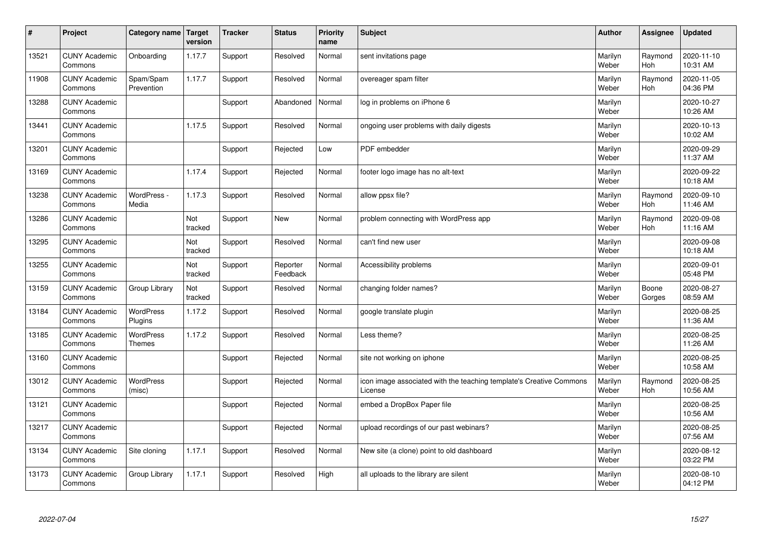| $\sharp$ | Project                         | Category name               | Target<br>version | <b>Tracker</b> | <b>Status</b>        | <b>Priority</b><br>name | <b>Subject</b>                                                                 | <b>Author</b>    | Assignee              | Updated                |
|----------|---------------------------------|-----------------------------|-------------------|----------------|----------------------|-------------------------|--------------------------------------------------------------------------------|------------------|-----------------------|------------------------|
| 13521    | <b>CUNY Academic</b><br>Commons | Onboarding                  | 1.17.7            | Support        | Resolved             | Normal                  | sent invitations page                                                          | Marilyn<br>Weber | Raymond<br><b>Hoh</b> | 2020-11-10<br>10:31 AM |
| 11908    | <b>CUNY Academic</b><br>Commons | Spam/Spam<br>Prevention     | 1.17.7            | Support        | Resolved             | Normal                  | overeager spam filter                                                          | Marilyn<br>Weber | Raymond<br><b>Hoh</b> | 2020-11-05<br>04:36 PM |
| 13288    | <b>CUNY Academic</b><br>Commons |                             |                   | Support        | Abandoned            | Normal                  | log in problems on iPhone 6                                                    | Marilyn<br>Weber |                       | 2020-10-27<br>10:26 AM |
| 13441    | <b>CUNY Academic</b><br>Commons |                             | 1.17.5            | Support        | Resolved             | Normal                  | ongoing user problems with daily digests                                       | Marilyn<br>Weber |                       | 2020-10-13<br>10:02 AM |
| 13201    | <b>CUNY Academic</b><br>Commons |                             |                   | Support        | Rejected             | Low                     | PDF embedder                                                                   | Marilyn<br>Weber |                       | 2020-09-29<br>11:37 AM |
| 13169    | <b>CUNY Academic</b><br>Commons |                             | 1.17.4            | Support        | Rejected             | Normal                  | footer logo image has no alt-text                                              | Marilyn<br>Weber |                       | 2020-09-22<br>10:18 AM |
| 13238    | <b>CUNY Academic</b><br>Commons | WordPress -<br>Media        | 1.17.3            | Support        | Resolved             | Normal                  | allow ppsx file?                                                               | Marilyn<br>Weber | Raymond<br><b>Hoh</b> | 2020-09-10<br>11:46 AM |
| 13286    | <b>CUNY Academic</b><br>Commons |                             | Not<br>tracked    | Support        | <b>New</b>           | Normal                  | problem connecting with WordPress app                                          | Marilyn<br>Weber | Raymond<br>Hoh        | 2020-09-08<br>11:16 AM |
| 13295    | <b>CUNY Academic</b><br>Commons |                             | Not<br>tracked    | Support        | Resolved             | Normal                  | can't find new user                                                            | Marilyn<br>Weber |                       | 2020-09-08<br>10:18 AM |
| 13255    | <b>CUNY Academic</b><br>Commons |                             | Not<br>tracked    | Support        | Reporter<br>Feedback | Normal                  | Accessibility problems                                                         | Marilyn<br>Weber |                       | 2020-09-01<br>05:48 PM |
| 13159    | <b>CUNY Academic</b><br>Commons | Group Library               | Not<br>tracked    | Support        | Resolved             | Normal                  | changing folder names?                                                         | Marilyn<br>Weber | Boone<br>Gorges       | 2020-08-27<br>08:59 AM |
| 13184    | <b>CUNY Academic</b><br>Commons | <b>WordPress</b><br>Plugins | 1.17.2            | Support        | Resolved             | Normal                  | google translate plugin                                                        | Marilyn<br>Weber |                       | 2020-08-25<br>11:36 AM |
| 13185    | <b>CUNY Academic</b><br>Commons | <b>WordPress</b><br>Themes  | 1.17.2            | Support        | Resolved             | Normal                  | Less theme?                                                                    | Marilyn<br>Weber |                       | 2020-08-25<br>11:26 AM |
| 13160    | <b>CUNY Academic</b><br>Commons |                             |                   | Support        | Rejected             | Normal                  | site not working on iphone                                                     | Marilyn<br>Weber |                       | 2020-08-25<br>10:58 AM |
| 13012    | <b>CUNY Academic</b><br>Commons | <b>WordPress</b><br>(misc)  |                   | Support        | Rejected             | Normal                  | icon image associated with the teaching template's Creative Commons<br>License | Marilyn<br>Weber | Raymond<br>Hoh        | 2020-08-25<br>10:56 AM |
| 13121    | <b>CUNY Academic</b><br>Commons |                             |                   | Support        | Rejected             | Normal                  | embed a DropBox Paper file                                                     | Marilyn<br>Weber |                       | 2020-08-25<br>10:56 AM |
| 13217    | <b>CUNY Academic</b><br>Commons |                             |                   | Support        | Rejected             | Normal                  | upload recordings of our past webinars?                                        | Marilyn<br>Weber |                       | 2020-08-25<br>07:56 AM |
| 13134    | <b>CUNY Academic</b><br>Commons | Site cloning                | 1.17.1            | Support        | Resolved             | Normal                  | New site (a clone) point to old dashboard                                      | Marilyn<br>Weber |                       | 2020-08-12<br>03:22 PM |
| 13173    | <b>CUNY Academic</b><br>Commons | Group Library               | 1.17.1            | Support        | Resolved             | High                    | all uploads to the library are silent                                          | Marilyn<br>Weber |                       | 2020-08-10<br>04:12 PM |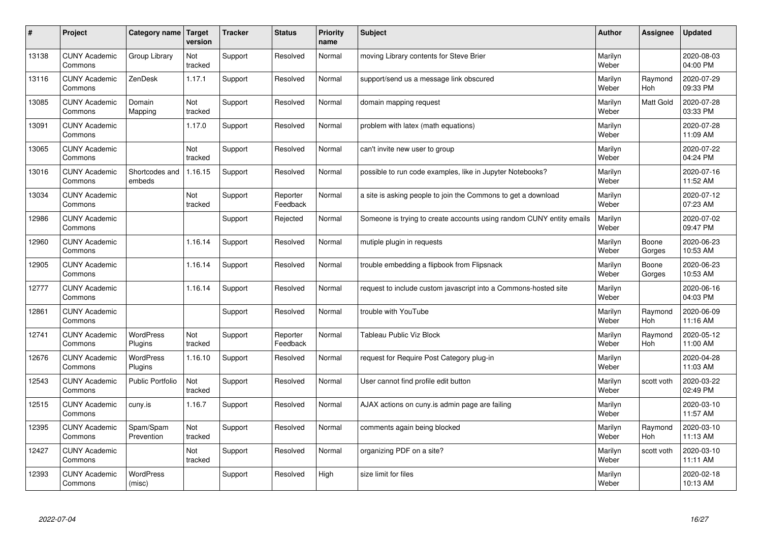| #     | Project                         | Category name               | Target<br>version | <b>Tracker</b> | <b>Status</b>        | <b>Priority</b><br>name | <b>Subject</b>                                                       | <b>Author</b>    | Assignee         | <b>Updated</b>         |
|-------|---------------------------------|-----------------------------|-------------------|----------------|----------------------|-------------------------|----------------------------------------------------------------------|------------------|------------------|------------------------|
| 13138 | <b>CUNY Academic</b><br>Commons | Group Library               | Not<br>tracked    | Support        | Resolved             | Normal                  | moving Library contents for Steve Brier                              | Marilyn<br>Weber |                  | 2020-08-03<br>04:00 PM |
| 13116 | <b>CUNY Academic</b><br>Commons | ZenDesk                     | 1.17.1            | Support        | Resolved             | Normal                  | support/send us a message link obscured                              | Marilyn<br>Weber | Raymond<br>Hoh   | 2020-07-29<br>09:33 PM |
| 13085 | <b>CUNY Academic</b><br>Commons | Domain<br>Mapping           | Not<br>tracked    | Support        | Resolved             | Normal                  | domain mapping request                                               | Marilyn<br>Weber | <b>Matt Gold</b> | 2020-07-28<br>03:33 PM |
| 13091 | <b>CUNY Academic</b><br>Commons |                             | 1.17.0            | Support        | Resolved             | Normal                  | problem with latex (math equations)                                  | Marilyn<br>Weber |                  | 2020-07-28<br>11:09 AM |
| 13065 | <b>CUNY Academic</b><br>Commons |                             | Not<br>tracked    | Support        | Resolved             | Normal                  | can't invite new user to group                                       | Marilyn<br>Weber |                  | 2020-07-22<br>04:24 PM |
| 13016 | <b>CUNY Academic</b><br>Commons | Shortcodes and<br>embeds    | 1.16.15           | Support        | Resolved             | Normal                  | possible to run code examples, like in Jupyter Notebooks?            | Marilyn<br>Weber |                  | 2020-07-16<br>11:52 AM |
| 13034 | <b>CUNY Academic</b><br>Commons |                             | Not<br>tracked    | Support        | Reporter<br>Feedback | Normal                  | a site is asking people to join the Commons to get a download        | Marilyn<br>Weber |                  | 2020-07-12<br>07:23 AM |
| 12986 | <b>CUNY Academic</b><br>Commons |                             |                   | Support        | Rejected             | Normal                  | Someone is trying to create accounts using random CUNY entity emails | Marilyn<br>Weber |                  | 2020-07-02<br>09:47 PM |
| 12960 | <b>CUNY Academic</b><br>Commons |                             | 1.16.14           | Support        | Resolved             | Normal                  | mutiple plugin in requests                                           | Marilyn<br>Weber | Boone<br>Gorges  | 2020-06-23<br>10:53 AM |
| 12905 | <b>CUNY Academic</b><br>Commons |                             | 1.16.14           | Support        | Resolved             | Normal                  | trouble embedding a flipbook from Flipsnack                          | Marilyn<br>Weber | Boone<br>Gorges  | 2020-06-23<br>10:53 AM |
| 12777 | <b>CUNY Academic</b><br>Commons |                             | 1.16.14           | Support        | Resolved             | Normal                  | request to include custom javascript into a Commons-hosted site      | Marilyn<br>Weber |                  | 2020-06-16<br>04:03 PM |
| 12861 | <b>CUNY Academic</b><br>Commons |                             |                   | Support        | Resolved             | Normal                  | trouble with YouTube                                                 | Marilyn<br>Weber | Raymond<br>Hoh   | 2020-06-09<br>11:16 AM |
| 12741 | <b>CUNY Academic</b><br>Commons | <b>WordPress</b><br>Plugins | Not<br>tracked    | Support        | Reporter<br>Feedback | Normal                  | <b>Tableau Public Viz Block</b>                                      | Marilyn<br>Weber | Raymond<br>Hoh   | 2020-05-12<br>11:00 AM |
| 12676 | <b>CUNY Academic</b><br>Commons | <b>WordPress</b><br>Plugins | 1.16.10           | Support        | Resolved             | Normal                  | request for Require Post Category plug-in                            | Marilyn<br>Weber |                  | 2020-04-28<br>11:03 AM |
| 12543 | <b>CUNY Academic</b><br>Commons | Public Portfolio            | Not<br>tracked    | Support        | Resolved             | Normal                  | User cannot find profile edit button                                 | Marilyn<br>Weber | scott voth       | 2020-03-22<br>02:49 PM |
| 12515 | <b>CUNY Academic</b><br>Commons | cuny.is                     | 1.16.7            | Support        | Resolved             | Normal                  | AJAX actions on cuny is admin page are failing                       | Marilyn<br>Weber |                  | 2020-03-10<br>11:57 AM |
| 12395 | <b>CUNY Academic</b><br>Commons | Spam/Spam<br>Prevention     | Not<br>tracked    | Support        | Resolved             | Normal                  | comments again being blocked                                         | Marilyn<br>Weber | Raymond<br>Hoh   | 2020-03-10<br>11:13 AM |
| 12427 | <b>CUNY Academic</b><br>Commons |                             | Not<br>tracked    | Support        | Resolved             | Normal                  | organizing PDF on a site?                                            | Marilyn<br>Weber | scott voth       | 2020-03-10<br>11:11 AM |
| 12393 | <b>CUNY Academic</b><br>Commons | WordPress<br>(misc)         |                   | Support        | Resolved             | High                    | size limit for files                                                 | Marilyn<br>Weber |                  | 2020-02-18<br>10:13 AM |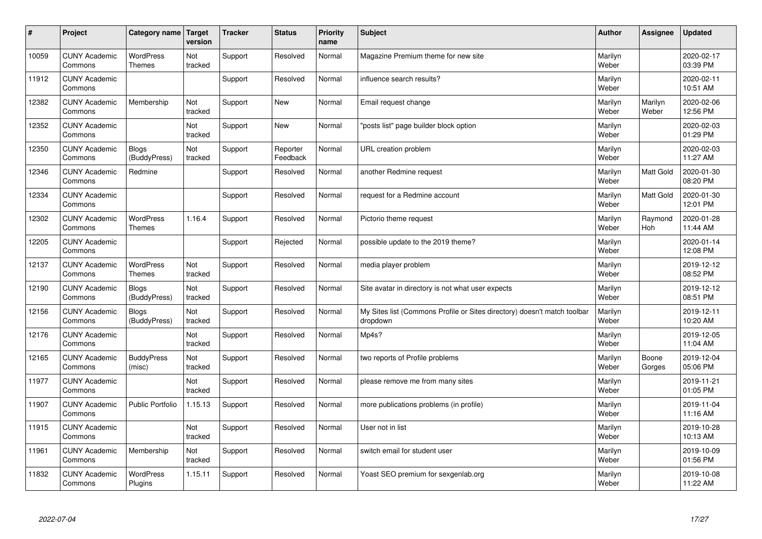| #     | Project                         | Category name                     | Target<br>version | <b>Tracker</b> | <b>Status</b>        | <b>Priority</b><br>name | <b>Subject</b>                                                                       | <b>Author</b>    | Assignee         | Updated                |
|-------|---------------------------------|-----------------------------------|-------------------|----------------|----------------------|-------------------------|--------------------------------------------------------------------------------------|------------------|------------------|------------------------|
| 10059 | <b>CUNY Academic</b><br>Commons | <b>WordPress</b><br><b>Themes</b> | Not<br>tracked    | Support        | Resolved             | Normal                  | Magazine Premium theme for new site                                                  | Marilyn<br>Weber |                  | 2020-02-17<br>03:39 PM |
| 11912 | <b>CUNY Academic</b><br>Commons |                                   |                   | Support        | Resolved             | Normal                  | influence search results?                                                            | Marilyn<br>Weber |                  | 2020-02-11<br>10:51 AM |
| 12382 | <b>CUNY Academic</b><br>Commons | Membership                        | Not<br>tracked    | Support        | <b>New</b>           | Normal                  | Email request change                                                                 | Marilyn<br>Weber | Marilyn<br>Weber | 2020-02-06<br>12:56 PM |
| 12352 | <b>CUNY Academic</b><br>Commons |                                   | Not<br>tracked    | Support        | <b>New</b>           | Normal                  | 'posts list" page builder block option                                               | Marilyn<br>Weber |                  | 2020-02-03<br>01:29 PM |
| 12350 | <b>CUNY Academic</b><br>Commons | <b>Blogs</b><br>(BuddyPress)      | Not<br>tracked    | Support        | Reporter<br>Feedback | Normal                  | URL creation problem                                                                 | Marilyn<br>Weber |                  | 2020-02-03<br>11:27 AM |
| 12346 | <b>CUNY Academic</b><br>Commons | Redmine                           |                   | Support        | Resolved             | Normal                  | another Redmine request                                                              | Marilyn<br>Weber | Matt Gold        | 2020-01-30<br>08:20 PM |
| 12334 | <b>CUNY Academic</b><br>Commons |                                   |                   | Support        | Resolved             | Normal                  | request for a Redmine account                                                        | Marilyn<br>Weber | Matt Gold        | 2020-01-30<br>12:01 PM |
| 12302 | <b>CUNY Academic</b><br>Commons | <b>WordPress</b><br><b>Themes</b> | 1.16.4            | Support        | Resolved             | Normal                  | Pictorio theme request                                                               | Marilyn<br>Weber | Raymond<br>Hoh   | 2020-01-28<br>11:44 AM |
| 12205 | <b>CUNY Academic</b><br>Commons |                                   |                   | Support        | Rejected             | Normal                  | possible update to the 2019 theme?                                                   | Marilyn<br>Weber |                  | 2020-01-14<br>12:08 PM |
| 12137 | <b>CUNY Academic</b><br>Commons | WordPress<br><b>Themes</b>        | Not<br>tracked    | Support        | Resolved             | Normal                  | media player problem                                                                 | Marilyn<br>Weber |                  | 2019-12-12<br>08:52 PM |
| 12190 | <b>CUNY Academic</b><br>Commons | <b>Blogs</b><br>(BuddyPress)      | Not<br>tracked    | Support        | Resolved             | Normal                  | Site avatar in directory is not what user expects                                    | Marilyn<br>Weber |                  | 2019-12-12<br>08:51 PM |
| 12156 | <b>CUNY Academic</b><br>Commons | <b>Blogs</b><br>(BuddyPress)      | Not<br>tracked    | Support        | Resolved             | Normal                  | My Sites list (Commons Profile or Sites directory) doesn't match toolbar<br>dropdown | Marilyn<br>Weber |                  | 2019-12-11<br>10:20 AM |
| 12176 | <b>CUNY Academic</b><br>Commons |                                   | Not<br>tracked    | Support        | Resolved             | Normal                  | Mp4s?                                                                                | Marilyn<br>Weber |                  | 2019-12-05<br>11:04 AM |
| 12165 | <b>CUNY Academic</b><br>Commons | <b>BuddyPress</b><br>(misc)       | Not<br>tracked    | Support        | Resolved             | Normal                  | two reports of Profile problems                                                      | Marilyn<br>Weber | Boone<br>Gorges  | 2019-12-04<br>05:06 PM |
| 11977 | <b>CUNY Academic</b><br>Commons |                                   | Not<br>tracked    | Support        | Resolved             | Normal                  | please remove me from many sites                                                     | Marilyn<br>Weber |                  | 2019-11-21<br>01:05 PM |
| 11907 | <b>CUNY Academic</b><br>Commons | <b>Public Portfolio</b>           | 1.15.13           | Support        | Resolved             | Normal                  | more publications problems (in profile)                                              | Marilyn<br>Weber |                  | 2019-11-04<br>11:16 AM |
| 11915 | <b>CUNY Academic</b><br>Commons |                                   | Not<br>tracked    | Support        | Resolved             | Normal                  | User not in list                                                                     | Marilyn<br>Weber |                  | 2019-10-28<br>10:13 AM |
| 11961 | <b>CUNY Academic</b><br>Commons | Membership                        | Not<br>tracked    | Support        | Resolved             | Normal                  | switch email for student user                                                        | Marilyn<br>Weber |                  | 2019-10-09<br>01:56 PM |
| 11832 | <b>CUNY Academic</b><br>Commons | <b>WordPress</b><br>Plugins       | 1.15.11           | Support        | Resolved             | Normal                  | Yoast SEO premium for sexgenlab.org                                                  | Marilyn<br>Weber |                  | 2019-10-08<br>11:22 AM |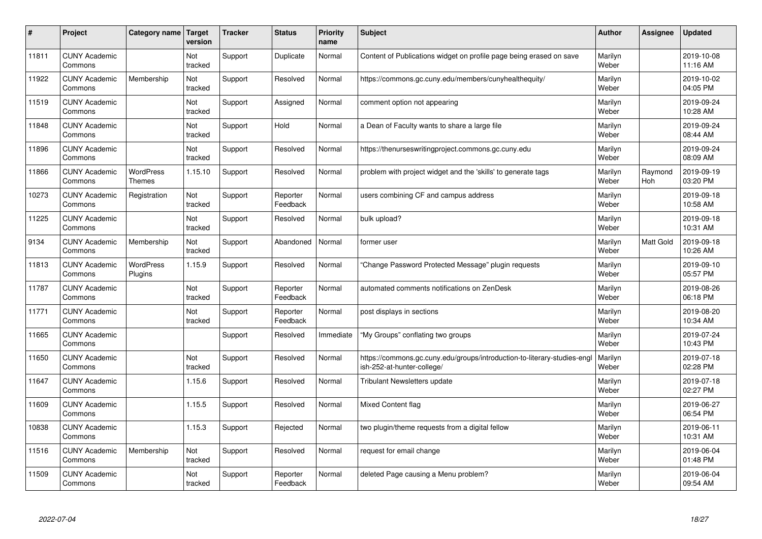| #     | Project                         | Category name                     | <b>Target</b><br>version | <b>Tracker</b> | <b>Status</b>        | <b>Priority</b><br>name | <b>Subject</b>                                                                                        | <b>Author</b>    | Assignee       | <b>Updated</b>         |
|-------|---------------------------------|-----------------------------------|--------------------------|----------------|----------------------|-------------------------|-------------------------------------------------------------------------------------------------------|------------------|----------------|------------------------|
| 11811 | <b>CUNY Academic</b><br>Commons |                                   | Not<br>tracked           | Support        | Duplicate            | Normal                  | Content of Publications widget on profile page being erased on save                                   | Marilyn<br>Weber |                | 2019-10-08<br>11:16 AM |
| 11922 | <b>CUNY Academic</b><br>Commons | Membership                        | Not<br>tracked           | Support        | Resolved             | Normal                  | https://commons.gc.cuny.edu/members/cunyhealthequity/                                                 | Marilyn<br>Weber |                | 2019-10-02<br>04:05 PM |
| 11519 | <b>CUNY Academic</b><br>Commons |                                   | Not<br>tracked           | Support        | Assigned             | Normal                  | comment option not appearing                                                                          | Marilyn<br>Weber |                | 2019-09-24<br>10:28 AM |
| 11848 | <b>CUNY Academic</b><br>Commons |                                   | Not<br>tracked           | Support        | Hold                 | Normal                  | a Dean of Faculty wants to share a large file                                                         | Marilyn<br>Weber |                | 2019-09-24<br>08:44 AM |
| 11896 | <b>CUNY Academic</b><br>Commons |                                   | <b>Not</b><br>tracked    | Support        | Resolved             | Normal                  | https://thenurseswritingproject.commons.gc.cuny.edu                                                   | Marilyn<br>Weber |                | 2019-09-24<br>08:09 AM |
| 11866 | <b>CUNY Academic</b><br>Commons | <b>WordPress</b><br><b>Themes</b> | 1.15.10                  | Support        | Resolved             | Normal                  | problem with project widget and the 'skills' to generate tags                                         | Marilyn<br>Weber | Raymond<br>Hoh | 2019-09-19<br>03:20 PM |
| 10273 | <b>CUNY Academic</b><br>Commons | Registration                      | Not<br>tracked           | Support        | Reporter<br>Feedback | Normal                  | users combining CF and campus address                                                                 | Marilyn<br>Weber |                | 2019-09-18<br>10:58 AM |
| 11225 | <b>CUNY Academic</b><br>Commons |                                   | Not<br>tracked           | Support        | Resolved             | Normal                  | bulk upload?                                                                                          | Marilyn<br>Weber |                | 2019-09-18<br>10:31 AM |
| 9134  | <b>CUNY Academic</b><br>Commons | Membership                        | Not<br>tracked           | Support        | Abandoned            | Normal                  | former user                                                                                           | Marilyn<br>Weber | Matt Gold      | 2019-09-18<br>10:26 AM |
| 11813 | <b>CUNY Academic</b><br>Commons | WordPress<br>Plugins              | 1.15.9                   | Support        | Resolved             | Normal                  | Change Password Protected Message" plugin requests                                                    | Marilyn<br>Weber |                | 2019-09-10<br>05:57 PM |
| 11787 | <b>CUNY Academic</b><br>Commons |                                   | Not<br>tracked           | Support        | Reporter<br>Feedback | Normal                  | automated comments notifications on ZenDesk                                                           | Marilyn<br>Weber |                | 2019-08-26<br>06:18 PM |
| 11771 | <b>CUNY Academic</b><br>Commons |                                   | Not<br>tracked           | Support        | Reporter<br>Feedback | Normal                  | post displays in sections                                                                             | Marilyn<br>Weber |                | 2019-08-20<br>10:34 AM |
| 11665 | <b>CUNY Academic</b><br>Commons |                                   |                          | Support        | Resolved             | Immediate               | 'My Groups" conflating two groups                                                                     | Marilyn<br>Weber |                | 2019-07-24<br>10:43 PM |
| 11650 | <b>CUNY Academic</b><br>Commons |                                   | Not<br>tracked           | Support        | Resolved             | Normal                  | https://commons.gc.cuny.edu/groups/introduction-to-literary-studies-eng<br>ish-252-at-hunter-college/ | Marilyn<br>Weber |                | 2019-07-18<br>02:28 PM |
| 11647 | <b>CUNY Academic</b><br>Commons |                                   | 1.15.6                   | Support        | Resolved             | Normal                  | <b>Tribulant Newsletters update</b>                                                                   | Marilyn<br>Weber |                | 2019-07-18<br>02:27 PM |
| 11609 | <b>CUNY Academic</b><br>Commons |                                   | 1.15.5                   | Support        | Resolved             | Normal                  | <b>Mixed Content flag</b>                                                                             | Marilyn<br>Weber |                | 2019-06-27<br>06:54 PM |
| 10838 | <b>CUNY Academic</b><br>Commons |                                   | 1.15.3                   | Support        | Rejected             | Normal                  | two plugin/theme requests from a digital fellow                                                       | Marilyn<br>Weber |                | 2019-06-11<br>10:31 AM |
| 11516 | <b>CUNY Academic</b><br>Commons | Membership                        | Not<br>tracked           | Support        | Resolved             | Normal                  | request for email change                                                                              | Marilyn<br>Weber |                | 2019-06-04<br>01:48 PM |
| 11509 | <b>CUNY Academic</b><br>Commons |                                   | Not<br>tracked           | Support        | Reporter<br>Feedback | Normal                  | deleted Page causing a Menu problem?                                                                  | Marilyn<br>Weber |                | 2019-06-04<br>09:54 AM |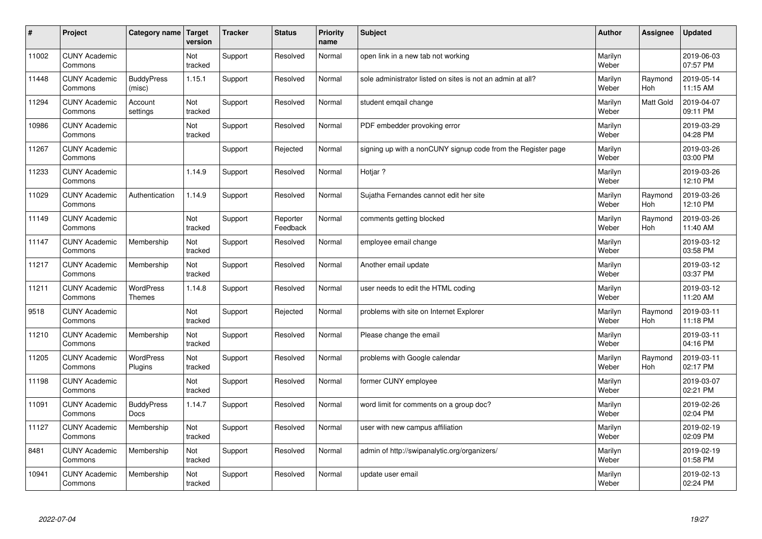| $\sharp$ | Project                         | Category name               | Target<br>version | <b>Tracker</b> | <b>Status</b>        | <b>Priority</b><br>name | <b>Subject</b>                                               | <b>Author</b>    | Assignee         | Updated                |
|----------|---------------------------------|-----------------------------|-------------------|----------------|----------------------|-------------------------|--------------------------------------------------------------|------------------|------------------|------------------------|
| 11002    | <b>CUNY Academic</b><br>Commons |                             | Not<br>tracked    | Support        | Resolved             | Normal                  | open link in a new tab not working                           | Marilyn<br>Weber |                  | 2019-06-03<br>07:57 PM |
| 11448    | <b>CUNY Academic</b><br>Commons | <b>BuddyPress</b><br>(misc) | 1.15.1            | Support        | Resolved             | Normal                  | sole administrator listed on sites is not an admin at all?   | Marilyn<br>Weber | Raymond<br>Hoh   | 2019-05-14<br>11:15 AM |
| 11294    | <b>CUNY Academic</b><br>Commons | Account<br>settings         | Not<br>tracked    | Support        | Resolved             | Normal                  | student emgail change                                        | Marilyn<br>Weber | <b>Matt Gold</b> | 2019-04-07<br>09:11 PM |
| 10986    | <b>CUNY Academic</b><br>Commons |                             | Not<br>tracked    | Support        | Resolved             | Normal                  | PDF embedder provoking error                                 | Marilyn<br>Weber |                  | 2019-03-29<br>04:28 PM |
| 11267    | <b>CUNY Academic</b><br>Commons |                             |                   | Support        | Rejected             | Normal                  | signing up with a nonCUNY signup code from the Register page | Marilyn<br>Weber |                  | 2019-03-26<br>03:00 PM |
| 11233    | <b>CUNY Academic</b><br>Commons |                             | 1.14.9            | Support        | Resolved             | Normal                  | Hotjar ?                                                     | Marilyn<br>Weber |                  | 2019-03-26<br>12:10 PM |
| 11029    | <b>CUNY Academic</b><br>Commons | Authentication              | 1.14.9            | Support        | Resolved             | Normal                  | Sujatha Fernandes cannot edit her site                       | Marilyn<br>Weber | Raymond<br>Hoh   | 2019-03-26<br>12:10 PM |
| 11149    | <b>CUNY Academic</b><br>Commons |                             | Not<br>tracked    | Support        | Reporter<br>Feedback | Normal                  | comments getting blocked                                     | Marilyn<br>Weber | Raymond<br>Hoh   | 2019-03-26<br>11:40 AM |
| 11147    | <b>CUNY Academic</b><br>Commons | Membership                  | Not<br>tracked    | Support        | Resolved             | Normal                  | employee email change                                        | Marilyn<br>Weber |                  | 2019-03-12<br>03:58 PM |
| 11217    | <b>CUNY Academic</b><br>Commons | Membership                  | Not<br>tracked    | Support        | Resolved             | Normal                  | Another email update                                         | Marilyn<br>Weber |                  | 2019-03-12<br>03:37 PM |
| 11211    | <b>CUNY Academic</b><br>Commons | WordPress<br><b>Themes</b>  | 1.14.8            | Support        | Resolved             | Normal                  | user needs to edit the HTML coding                           | Marilyn<br>Weber |                  | 2019-03-12<br>11:20 AM |
| 9518     | <b>CUNY Academic</b><br>Commons |                             | Not<br>tracked    | Support        | Rejected             | Normal                  | problems with site on Internet Explorer                      | Marilyn<br>Weber | Raymond<br>Hoh   | 2019-03-11<br>11:18 PM |
| 11210    | <b>CUNY Academic</b><br>Commons | Membership                  | Not<br>tracked    | Support        | Resolved             | Normal                  | Please change the email                                      | Marilyn<br>Weber |                  | 2019-03-11<br>04:16 PM |
| 11205    | <b>CUNY Academic</b><br>Commons | WordPress<br>Plugins        | Not<br>tracked    | Support        | Resolved             | Normal                  | problems with Google calendar                                | Marilyn<br>Weber | Raymond<br>Hoh   | 2019-03-11<br>02:17 PM |
| 11198    | <b>CUNY Academic</b><br>Commons |                             | Not<br>tracked    | Support        | Resolved             | Normal                  | former CUNY employee                                         | Marilyn<br>Weber |                  | 2019-03-07<br>02:21 PM |
| 11091    | <b>CUNY Academic</b><br>Commons | <b>BuddyPress</b><br>Docs   | 1.14.7            | Support        | Resolved             | Normal                  | word limit for comments on a group doc?                      | Marilyn<br>Weber |                  | 2019-02-26<br>02:04 PM |
| 11127    | <b>CUNY Academic</b><br>Commons | Membership                  | Not<br>tracked    | Support        | Resolved             | Normal                  | user with new campus affiliation                             | Marilyn<br>Weber |                  | 2019-02-19<br>02:09 PM |
| 8481     | <b>CUNY Academic</b><br>Commons | Membership                  | Not<br>tracked    | Support        | Resolved             | Normal                  | admin of http://swipanalytic.org/organizers/                 | Marilyn<br>Weber |                  | 2019-02-19<br>01:58 PM |
| 10941    | <b>CUNY Academic</b><br>Commons | Membership                  | Not<br>tracked    | Support        | Resolved             | Normal                  | update user email                                            | Marilyn<br>Weber |                  | 2019-02-13<br>02:24 PM |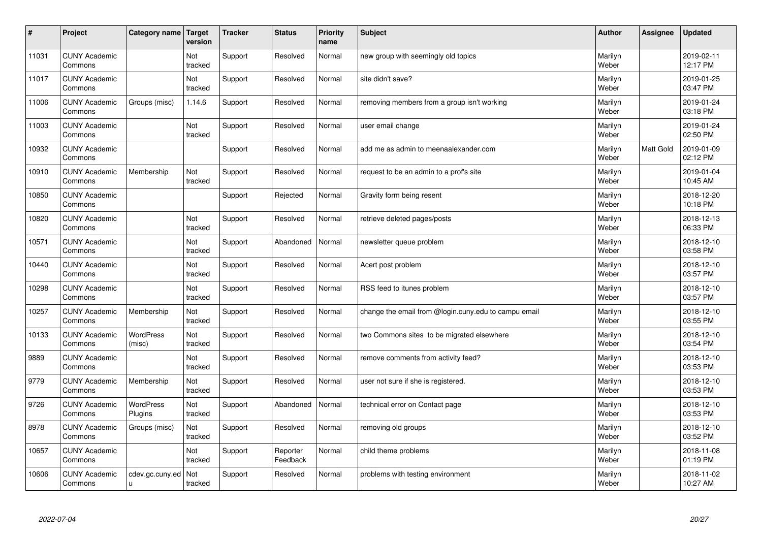| $\sharp$ | Project                         | Category name   Target      | version        | <b>Tracker</b> | <b>Status</b>        | <b>Priority</b><br>name | <b>Subject</b>                                       | <b>Author</b>    | Assignee         | <b>Updated</b>         |
|----------|---------------------------------|-----------------------------|----------------|----------------|----------------------|-------------------------|------------------------------------------------------|------------------|------------------|------------------------|
| 11031    | <b>CUNY Academic</b><br>Commons |                             | Not<br>tracked | Support        | Resolved             | Normal                  | new group with seemingly old topics                  | Marilyn<br>Weber |                  | 2019-02-11<br>12:17 PM |
| 11017    | <b>CUNY Academic</b><br>Commons |                             | Not<br>tracked | Support        | Resolved             | Normal                  | site didn't save?                                    | Marilyn<br>Weber |                  | 2019-01-25<br>03:47 PM |
| 11006    | <b>CUNY Academic</b><br>Commons | Groups (misc)               | 1.14.6         | Support        | Resolved             | Normal                  | removing members from a group isn't working          | Marilyn<br>Weber |                  | 2019-01-24<br>03:18 PM |
| 11003    | <b>CUNY Academic</b><br>Commons |                             | Not<br>tracked | Support        | Resolved             | Normal                  | user email change                                    | Marilyn<br>Weber |                  | 2019-01-24<br>02:50 PM |
| 10932    | <b>CUNY Academic</b><br>Commons |                             |                | Support        | Resolved             | Normal                  | add me as admin to meenaalexander.com                | Marilyn<br>Weber | <b>Matt Gold</b> | 2019-01-09<br>02:12 PM |
| 10910    | <b>CUNY Academic</b><br>Commons | Membership                  | Not<br>tracked | Support        | Resolved             | Normal                  | request to be an admin to a prof's site              | Marilyn<br>Weber |                  | 2019-01-04<br>10:45 AM |
| 10850    | <b>CUNY Academic</b><br>Commons |                             |                | Support        | Rejected             | Normal                  | Gravity form being resent                            | Marilyn<br>Weber |                  | 2018-12-20<br>10:18 PM |
| 10820    | <b>CUNY Academic</b><br>Commons |                             | Not<br>tracked | Support        | Resolved             | Normal                  | retrieve deleted pages/posts                         | Marilyn<br>Weber |                  | 2018-12-13<br>06:33 PM |
| 10571    | <b>CUNY Academic</b><br>Commons |                             | Not<br>tracked | Support        | Abandoned            | Normal                  | newsletter queue problem                             | Marilyn<br>Weber |                  | 2018-12-10<br>03:58 PM |
| 10440    | <b>CUNY Academic</b><br>Commons |                             | Not<br>tracked | Support        | Resolved             | Normal                  | Acert post problem                                   | Marilyn<br>Weber |                  | 2018-12-10<br>03:57 PM |
| 10298    | <b>CUNY Academic</b><br>Commons |                             | Not<br>tracked | Support        | Resolved             | Normal                  | RSS feed to itunes problem                           | Marilyn<br>Weber |                  | 2018-12-10<br>03:57 PM |
| 10257    | <b>CUNY Academic</b><br>Commons | Membership                  | Not<br>tracked | Support        | Resolved             | Normal                  | change the email from @login.cuny.edu to campu email | Marilyn<br>Weber |                  | 2018-12-10<br>03:55 PM |
| 10133    | <b>CUNY Academic</b><br>Commons | <b>WordPress</b><br>(misc)  | Not<br>tracked | Support        | Resolved             | Normal                  | two Commons sites to be migrated elsewhere           | Marilyn<br>Weber |                  | 2018-12-10<br>03:54 PM |
| 9889     | <b>CUNY Academic</b><br>Commons |                             | Not<br>tracked | Support        | Resolved             | Normal                  | remove comments from activity feed?                  | Marilyn<br>Weber |                  | 2018-12-10<br>03:53 PM |
| 9779     | <b>CUNY Academic</b><br>Commons | Membership                  | Not<br>tracked | Support        | Resolved             | Normal                  | user not sure if she is registered.                  | Marilyn<br>Weber |                  | 2018-12-10<br>03:53 PM |
| 9726     | <b>CUNY Academic</b><br>Commons | <b>WordPress</b><br>Plugins | Not<br>tracked | Support        | Abandoned            | Normal                  | technical error on Contact page                      | Marilyn<br>Weber |                  | 2018-12-10<br>03:53 PM |
| 8978     | <b>CUNY Academic</b><br>Commons | Groups (misc)               | Not<br>tracked | Support        | Resolved             | Normal                  | removing old groups                                  | Marilyn<br>Weber |                  | 2018-12-10<br>03:52 PM |
| 10657    | <b>CUNY Academic</b><br>Commons |                             | Not<br>tracked | Support        | Reporter<br>Feedback | Normal                  | child theme problems                                 | Marilyn<br>Weber |                  | 2018-11-08<br>01:19 PM |
| 10606    | <b>CUNY Academic</b><br>Commons | cdev.gc.cuny.ed<br>u        | Not<br>tracked | Support        | Resolved             | Normal                  | problems with testing environment                    | Marilyn<br>Weber |                  | 2018-11-02<br>10:27 AM |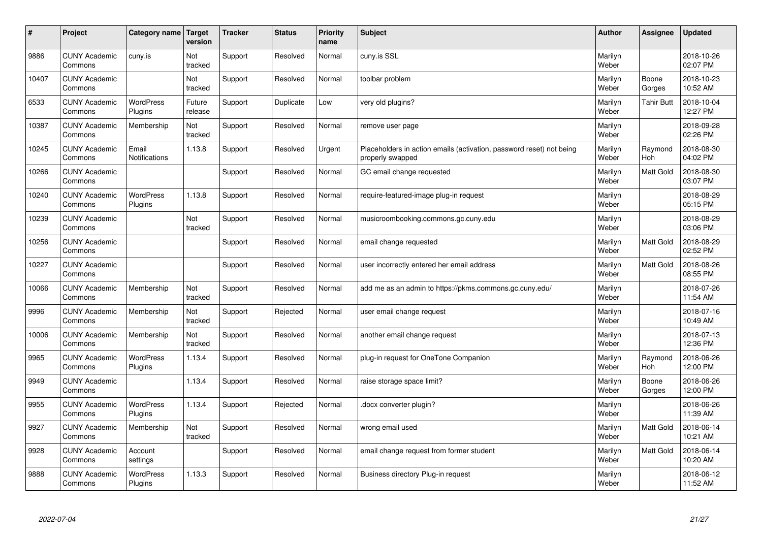| #     | Project                         | Category name   Target        | version           | <b>Tracker</b> | <b>Status</b> | <b>Priority</b><br>name | <b>Subject</b>                                                                           | <b>Author</b>    | Assignee              | <b>Updated</b>         |
|-------|---------------------------------|-------------------------------|-------------------|----------------|---------------|-------------------------|------------------------------------------------------------------------------------------|------------------|-----------------------|------------------------|
| 9886  | <b>CUNY Academic</b><br>Commons | cuny.is                       | Not<br>tracked    | Support        | Resolved      | Normal                  | cuny.is SSL                                                                              | Marilyn<br>Weber |                       | 2018-10-26<br>02:07 PM |
| 10407 | <b>CUNY Academic</b><br>Commons |                               | Not<br>tracked    | Support        | Resolved      | Normal                  | toolbar problem                                                                          | Marilyn<br>Weber | Boone<br>Gorges       | 2018-10-23<br>10:52 AM |
| 6533  | <b>CUNY Academic</b><br>Commons | <b>WordPress</b><br>Plugins   | Future<br>release | Support        | Duplicate     | Low                     | very old plugins?                                                                        | Marilyn<br>Weber | <b>Tahir Butt</b>     | 2018-10-04<br>12:27 PM |
| 10387 | <b>CUNY Academic</b><br>Commons | Membership                    | Not<br>tracked    | Support        | Resolved      | Normal                  | remove user page                                                                         | Marilyn<br>Weber |                       | 2018-09-28<br>02:26 PM |
| 10245 | <b>CUNY Academic</b><br>Commons | Email<br><b>Notifications</b> | 1.13.8            | Support        | Resolved      | Urgent                  | Placeholders in action emails (activation, password reset) not being<br>properly swapped | Marilyn<br>Weber | Raymond<br>Hoh        | 2018-08-30<br>04:02 PM |
| 10266 | <b>CUNY Academic</b><br>Commons |                               |                   | Support        | Resolved      | Normal                  | GC email change requested                                                                | Marilyn<br>Weber | Matt Gold             | 2018-08-30<br>03:07 PM |
| 10240 | <b>CUNY Academic</b><br>Commons | <b>WordPress</b><br>Plugins   | 1.13.8            | Support        | Resolved      | Normal                  | require-featured-image plug-in request                                                   | Marilyn<br>Weber |                       | 2018-08-29<br>05:15 PM |
| 10239 | <b>CUNY Academic</b><br>Commons |                               | Not<br>tracked    | Support        | Resolved      | Normal                  | musicroombooking.commons.gc.cuny.edu                                                     | Marilyn<br>Weber |                       | 2018-08-29<br>03:06 PM |
| 10256 | <b>CUNY Academic</b><br>Commons |                               |                   | Support        | Resolved      | Normal                  | email change requested                                                                   | Marilyn<br>Weber | Matt Gold             | 2018-08-29<br>02:52 PM |
| 10227 | <b>CUNY Academic</b><br>Commons |                               |                   | Support        | Resolved      | Normal                  | user incorrectly entered her email address                                               | Marilyn<br>Weber | Matt Gold             | 2018-08-26<br>08:55 PM |
| 10066 | <b>CUNY Academic</b><br>Commons | Membership                    | Not<br>tracked    | Support        | Resolved      | Normal                  | add me as an admin to https://pkms.commons.gc.cuny.edu/                                  | Marilyn<br>Weber |                       | 2018-07-26<br>11:54 AM |
| 9996  | <b>CUNY Academic</b><br>Commons | Membership                    | Not<br>tracked    | Support        | Rejected      | Normal                  | user email change request                                                                | Marilyn<br>Weber |                       | 2018-07-16<br>10:49 AM |
| 10006 | <b>CUNY Academic</b><br>Commons | Membership                    | Not<br>tracked    | Support        | Resolved      | Normal                  | another email change request                                                             | Marilyn<br>Weber |                       | 2018-07-13<br>12:36 PM |
| 9965  | <b>CUNY Academic</b><br>Commons | WordPress<br>Plugins          | 1.13.4            | Support        | Resolved      | Normal                  | plug-in request for OneTone Companion                                                    | Marilyn<br>Weber | Raymond<br><b>Hoh</b> | 2018-06-26<br>12:00 PM |
| 9949  | <b>CUNY Academic</b><br>Commons |                               | 1.13.4            | Support        | Resolved      | Normal                  | raise storage space limit?                                                               | Marilyn<br>Weber | Boone<br>Gorges       | 2018-06-26<br>12:00 PM |
| 9955  | <b>CUNY Academic</b><br>Commons | WordPress<br>Plugins          | 1.13.4            | Support        | Rejected      | Normal                  | docx converter plugin?                                                                   | Marilyn<br>Weber |                       | 2018-06-26<br>11:39 AM |
| 9927  | <b>CUNY Academic</b><br>Commons | Membership                    | Not<br>tracked    | Support        | Resolved      | Normal                  | wrong email used                                                                         | Marilyn<br>Weber | Matt Gold             | 2018-06-14<br>10:21 AM |
| 9928  | <b>CUNY Academic</b><br>Commons | Account<br>settings           |                   | Support        | Resolved      | Normal                  | email change request from former student                                                 | Marilyn<br>Weber | Matt Gold             | 2018-06-14<br>10:20 AM |
| 9888  | <b>CUNY Academic</b><br>Commons | <b>WordPress</b><br>Plugins   | 1.13.3            | Support        | Resolved      | Normal                  | Business directory Plug-in request                                                       | Marilyn<br>Weber |                       | 2018-06-12<br>11:52 AM |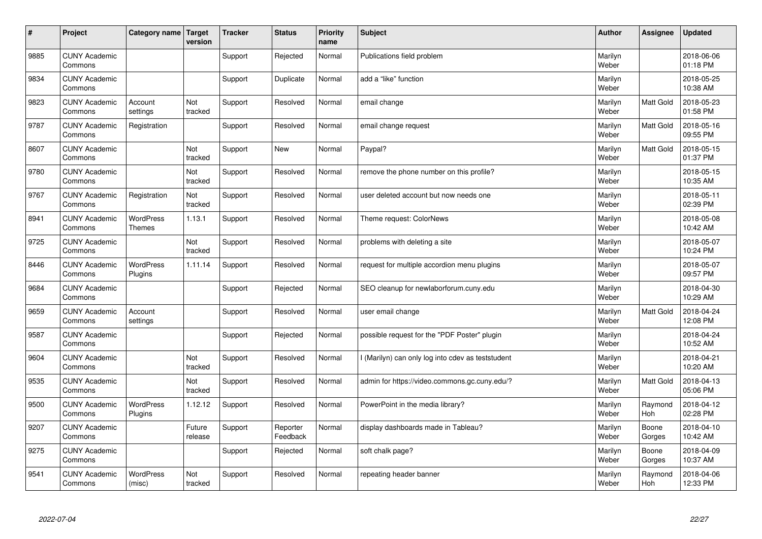| $\sharp$ | Project                         | Category name                     | <b>Target</b><br>version | <b>Tracker</b> | <b>Status</b>        | <b>Priority</b><br>name | <b>Subject</b>                                    | <b>Author</b>    | Assignee         | <b>Updated</b>         |
|----------|---------------------------------|-----------------------------------|--------------------------|----------------|----------------------|-------------------------|---------------------------------------------------|------------------|------------------|------------------------|
| 9885     | <b>CUNY Academic</b><br>Commons |                                   |                          | Support        | Rejected             | Normal                  | Publications field problem                        | Marilyn<br>Weber |                  | 2018-06-06<br>01:18 PM |
| 9834     | <b>CUNY Academic</b><br>Commons |                                   |                          | Support        | Duplicate            | Normal                  | add a "like" function                             | Marilyn<br>Weber |                  | 2018-05-25<br>10:38 AM |
| 9823     | <b>CUNY Academic</b><br>Commons | Account<br>settings               | Not<br>tracked           | Support        | Resolved             | Normal                  | email change                                      | Marilyn<br>Weber | Matt Gold        | 2018-05-23<br>01:58 PM |
| 9787     | <b>CUNY Academic</b><br>Commons | Registration                      |                          | Support        | Resolved             | Normal                  | email change request                              | Marilyn<br>Weber | <b>Matt Gold</b> | 2018-05-16<br>09:55 PM |
| 8607     | <b>CUNY Academic</b><br>Commons |                                   | Not<br>tracked           | Support        | <b>New</b>           | Normal                  | Paypal?                                           | Marilyn<br>Weber | <b>Matt Gold</b> | 2018-05-15<br>01:37 PM |
| 9780     | <b>CUNY Academic</b><br>Commons |                                   | Not<br>tracked           | Support        | Resolved             | Normal                  | remove the phone number on this profile?          | Marilyn<br>Weber |                  | 2018-05-15<br>10:35 AM |
| 9767     | <b>CUNY Academic</b><br>Commons | Registration                      | Not<br>tracked           | Support        | Resolved             | Normal                  | user deleted account but now needs one            | Marilyn<br>Weber |                  | 2018-05-11<br>02:39 PM |
| 8941     | <b>CUNY Academic</b><br>Commons | <b>WordPress</b><br><b>Themes</b> | 1.13.1                   | Support        | Resolved             | Normal                  | Theme request: ColorNews                          | Marilyn<br>Weber |                  | 2018-05-08<br>10:42 AM |
| 9725     | <b>CUNY Academic</b><br>Commons |                                   | Not<br>tracked           | Support        | Resolved             | Normal                  | problems with deleting a site                     | Marilyn<br>Weber |                  | 2018-05-07<br>10:24 PM |
| 8446     | <b>CUNY Academic</b><br>Commons | <b>WordPress</b><br>Plugins       | 1.11.14                  | Support        | Resolved             | Normal                  | request for multiple accordion menu plugins       | Marilyn<br>Weber |                  | 2018-05-07<br>09:57 PM |
| 9684     | <b>CUNY Academic</b><br>Commons |                                   |                          | Support        | Rejected             | Normal                  | SEO cleanup for newlaborforum.cuny.edu            | Marilyn<br>Weber |                  | 2018-04-30<br>10:29 AM |
| 9659     | <b>CUNY Academic</b><br>Commons | Account<br>settings               |                          | Support        | Resolved             | Normal                  | user email change                                 | Marilyn<br>Weber | <b>Matt Gold</b> | 2018-04-24<br>12:08 PM |
| 9587     | <b>CUNY Academic</b><br>Commons |                                   |                          | Support        | Rejected             | Normal                  | possible request for the "PDF Poster" plugin      | Marilyn<br>Weber |                  | 2018-04-24<br>10:52 AM |
| 9604     | <b>CUNY Academic</b><br>Commons |                                   | Not<br>tracked           | Support        | Resolved             | Normal                  | I (Marilyn) can only log into cdev as teststudent | Marilyn<br>Weber |                  | 2018-04-21<br>10:20 AM |
| 9535     | <b>CUNY Academic</b><br>Commons |                                   | Not<br>tracked           | Support        | Resolved             | Normal                  | admin for https://video.commons.gc.cuny.edu/?     | Marilyn<br>Weber | Matt Gold        | 2018-04-13<br>05:06 PM |
| 9500     | <b>CUNY Academic</b><br>Commons | <b>WordPress</b><br>Plugins       | 1.12.12                  | Support        | Resolved             | Normal                  | PowerPoint in the media library?                  | Marilyn<br>Weber | Raymond<br>Hoh   | 2018-04-12<br>02:28 PM |
| 9207     | <b>CUNY Academic</b><br>Commons |                                   | Future<br>release        | Support        | Reporter<br>Feedback | Normal                  | display dashboards made in Tableau?               | Marilyn<br>Weber | Boone<br>Gorges  | 2018-04-10<br>10:42 AM |
| 9275     | <b>CUNY Academic</b><br>Commons |                                   |                          | Support        | Rejected             | Normal                  | soft chalk page?                                  | Marilyn<br>Weber | Boone<br>Gorges  | 2018-04-09<br>10:37 AM |
| 9541     | <b>CUNY Academic</b><br>Commons | <b>WordPress</b><br>(misc)        | Not<br>tracked           | Support        | Resolved             | Normal                  | repeating header banner                           | Marilyn<br>Weber | Raymond<br>Hoh   | 2018-04-06<br>12:33 PM |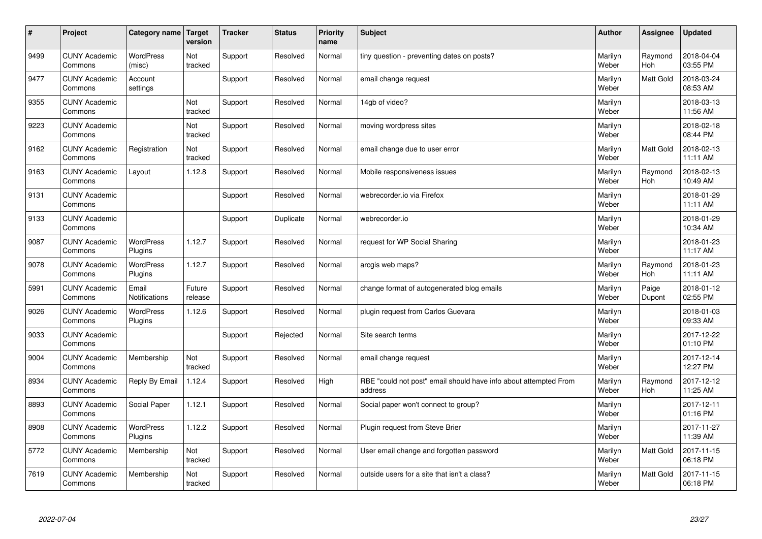| #    | Project                         | Category name   Target      | version           | <b>Tracker</b> | <b>Status</b> | <b>Priority</b><br>name | <b>Subject</b>                                                              | <b>Author</b>    | <b>Assignee</b>       | <b>Updated</b>         |
|------|---------------------------------|-----------------------------|-------------------|----------------|---------------|-------------------------|-----------------------------------------------------------------------------|------------------|-----------------------|------------------------|
| 9499 | <b>CUNY Academic</b><br>Commons | <b>WordPress</b><br>(misc)  | Not<br>tracked    | Support        | Resolved      | Normal                  | tiny question - preventing dates on posts?                                  | Marilyn<br>Weber | Raymond<br><b>Hoh</b> | 2018-04-04<br>03:55 PM |
| 9477 | <b>CUNY Academic</b><br>Commons | Account<br>settings         |                   | Support        | Resolved      | Normal                  | email change request                                                        | Marilyn<br>Weber | <b>Matt Gold</b>      | 2018-03-24<br>08:53 AM |
| 9355 | <b>CUNY Academic</b><br>Commons |                             | Not<br>tracked    | Support        | Resolved      | Normal                  | 14gb of video?                                                              | Marilyn<br>Weber |                       | 2018-03-13<br>11:56 AM |
| 9223 | <b>CUNY Academic</b><br>Commons |                             | Not<br>tracked    | Support        | Resolved      | Normal                  | moving wordpress sites                                                      | Marilyn<br>Weber |                       | 2018-02-18<br>08:44 PM |
| 9162 | <b>CUNY Academic</b><br>Commons | Registration                | Not<br>tracked    | Support        | Resolved      | Normal                  | email change due to user error                                              | Marilyn<br>Weber | <b>Matt Gold</b>      | 2018-02-13<br>11:11 AM |
| 9163 | <b>CUNY Academic</b><br>Commons | Layout                      | 1.12.8            | Support        | Resolved      | Normal                  | Mobile responsiveness issues                                                | Marilyn<br>Weber | Raymond<br>Hoh        | 2018-02-13<br>10:49 AM |
| 9131 | <b>CUNY Academic</b><br>Commons |                             |                   | Support        | Resolved      | Normal                  | webrecorder.io via Firefox                                                  | Marilyn<br>Weber |                       | 2018-01-29<br>11:11 AM |
| 9133 | <b>CUNY Academic</b><br>Commons |                             |                   | Support        | Duplicate     | Normal                  | webrecorder.io                                                              | Marilyn<br>Weber |                       | 2018-01-29<br>10:34 AM |
| 9087 | <b>CUNY Academic</b><br>Commons | <b>WordPress</b><br>Plugins | 1.12.7            | Support        | Resolved      | Normal                  | request for WP Social Sharing                                               | Marilyn<br>Weber |                       | 2018-01-23<br>11:17 AM |
| 9078 | <b>CUNY Academic</b><br>Commons | <b>WordPress</b><br>Plugins | 1.12.7            | Support        | Resolved      | Normal                  | arcgis web maps?                                                            | Marilyn<br>Weber | Raymond<br>Hoh        | 2018-01-23<br>11:11 AM |
| 5991 | <b>CUNY Academic</b><br>Commons | Email<br>Notifications      | Future<br>release | Support        | Resolved      | Normal                  | change format of autogenerated blog emails                                  | Marilyn<br>Weber | Paige<br>Dupont       | 2018-01-12<br>02:55 PM |
| 9026 | <b>CUNY Academic</b><br>Commons | <b>WordPress</b><br>Plugins | 1.12.6            | Support        | Resolved      | Normal                  | plugin request from Carlos Guevara                                          | Marilyn<br>Weber |                       | 2018-01-03<br>09:33 AM |
| 9033 | <b>CUNY Academic</b><br>Commons |                             |                   | Support        | Rejected      | Normal                  | Site search terms                                                           | Marilyn<br>Weber |                       | 2017-12-22<br>01:10 PM |
| 9004 | <b>CUNY Academic</b><br>Commons | Membership                  | Not<br>tracked    | Support        | Resolved      | Normal                  | email change request                                                        | Marilyn<br>Weber |                       | 2017-12-14<br>12:27 PM |
| 8934 | <b>CUNY Academic</b><br>Commons | Reply By Email              | 1.12.4            | Support        | Resolved      | High                    | RBE "could not post" email should have info about attempted From<br>address | Marilyn<br>Weber | Raymond<br>Hoh        | 2017-12-12<br>11:25 AM |
| 8893 | <b>CUNY Academic</b><br>Commons | Social Paper                | 1.12.1            | Support        | Resolved      | Normal                  | Social paper won't connect to group?                                        | Marilyn<br>Weber |                       | 2017-12-11<br>01:16 PM |
| 8908 | <b>CUNY Academic</b><br>Commons | WordPress<br>Plugins        | 1.12.2            | Support        | Resolved      | Normal                  | Plugin request from Steve Brier                                             | Marilyn<br>Weber |                       | 2017-11-27<br>11:39 AM |
| 5772 | <b>CUNY Academic</b><br>Commons | Membership                  | Not<br>tracked    | Support        | Resolved      | Normal                  | User email change and forgotten password                                    | Marilyn<br>Weber | <b>Matt Gold</b>      | 2017-11-15<br>06:18 PM |
| 7619 | <b>CUNY Academic</b><br>Commons | Membership                  | Not<br>tracked    | Support        | Resolved      | Normal                  | outside users for a site that isn't a class?                                | Marilyn<br>Weber | <b>Matt Gold</b>      | 2017-11-15<br>06:18 PM |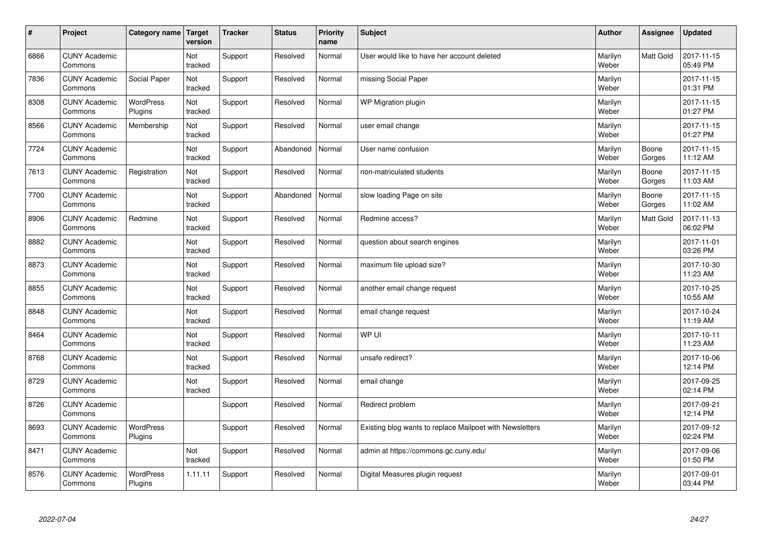| $\vert$ # | Project                         | Category name   Target      | version        | <b>Tracker</b> | <b>Status</b> | <b>Priority</b><br>name | <b>Subject</b>                                           | <b>Author</b>    | <b>Assignee</b> | <b>Updated</b>         |
|-----------|---------------------------------|-----------------------------|----------------|----------------|---------------|-------------------------|----------------------------------------------------------|------------------|-----------------|------------------------|
| 6866      | <b>CUNY Academic</b><br>Commons |                             | Not<br>tracked | Support        | Resolved      | Normal                  | User would like to have her account deleted              | Marilyn<br>Weber | Matt Gold       | 2017-11-15<br>05:49 PM |
| 7836      | <b>CUNY Academic</b><br>Commons | Social Paper                | Not<br>tracked | Support        | Resolved      | Normal                  | missing Social Paper                                     | Marilyn<br>Weber |                 | 2017-11-15<br>01:31 PM |
| 8308      | <b>CUNY Academic</b><br>Commons | WordPress<br>Plugins        | Not<br>tracked | Support        | Resolved      | Normal                  | WP Migration plugin                                      | Marilyn<br>Weber |                 | 2017-11-15<br>01:27 PM |
| 8566      | <b>CUNY Academic</b><br>Commons | Membership                  | Not<br>tracked | Support        | Resolved      | Normal                  | user email change                                        | Marilyn<br>Weber |                 | 2017-11-15<br>01:27 PM |
| 7724      | <b>CUNY Academic</b><br>Commons |                             | Not<br>tracked | Support        | Abandoned     | Normal                  | User name confusion                                      | Marilyn<br>Weber | Boone<br>Gorges | 2017-11-15<br>11:12 AM |
| 7613      | <b>CUNY Academic</b><br>Commons | Registration                | Not<br>tracked | Support        | Resolved      | Normal                  | non-matriculated students                                | Marilyn<br>Weber | Boone<br>Gorges | 2017-11-15<br>11:03 AM |
| 7700      | <b>CUNY Academic</b><br>Commons |                             | Not<br>tracked | Support        | Abandoned     | Normal                  | slow loading Page on site                                | Marilyn<br>Weber | Boone<br>Gorges | 2017-11-15<br>11:02 AM |
| 8906      | <b>CUNY Academic</b><br>Commons | Redmine                     | Not<br>tracked | Support        | Resolved      | Normal                  | Redmine access?                                          | Marilyn<br>Weber | Matt Gold       | 2017-11-13<br>06:02 PM |
| 8882      | <b>CUNY Academic</b><br>Commons |                             | Not<br>tracked | Support        | Resolved      | Normal                  | question about search engines                            | Marilyn<br>Weber |                 | 2017-11-01<br>03:26 PM |
| 8873      | <b>CUNY Academic</b><br>Commons |                             | Not<br>tracked | Support        | Resolved      | Normal                  | maximum file upload size?                                | Marilyn<br>Weber |                 | 2017-10-30<br>11:23 AM |
| 8855      | <b>CUNY Academic</b><br>Commons |                             | Not<br>tracked | Support        | Resolved      | Normal                  | another email change request                             | Marilyn<br>Weber |                 | 2017-10-25<br>10:55 AM |
| 8848      | <b>CUNY Academic</b><br>Commons |                             | Not<br>tracked | Support        | Resolved      | Normal                  | email change request                                     | Marilyn<br>Weber |                 | 2017-10-24<br>11:19 AM |
| 8464      | <b>CUNY Academic</b><br>Commons |                             | Not<br>tracked | Support        | Resolved      | Normal                  | WP UI                                                    | Marilyn<br>Weber |                 | 2017-10-11<br>11:23 AM |
| 8768      | <b>CUNY Academic</b><br>Commons |                             | Not<br>tracked | Support        | Resolved      | Normal                  | unsafe redirect?                                         | Marilyn<br>Weber |                 | 2017-10-06<br>12:14 PM |
| 8729      | <b>CUNY Academic</b><br>Commons |                             | Not<br>tracked | Support        | Resolved      | Normal                  | email change                                             | Marilyn<br>Weber |                 | 2017-09-25<br>02:14 PM |
| 8726      | <b>CUNY Academic</b><br>Commons |                             |                | Support        | Resolved      | Normal                  | Redirect problem                                         | Marilyn<br>Weber |                 | 2017-09-21<br>12:14 PM |
| 8693      | <b>CUNY Academic</b><br>Commons | WordPress<br>Plugins        |                | Support        | Resolved      | Normal                  | Existing blog wants to replace Mailpoet with Newsletters | Marilyn<br>Weber |                 | 2017-09-12<br>02:24 PM |
| 8471      | <b>CUNY Academic</b><br>Commons |                             | Not<br>tracked | Support        | Resolved      | Normal                  | admin at https://commons.gc.cuny.edu/                    | Marilyn<br>Weber |                 | 2017-09-06<br>01:50 PM |
| 8576      | <b>CUNY Academic</b><br>Commons | <b>WordPress</b><br>Plugins | 1.11.11        | Support        | Resolved      | Normal                  | Digital Measures plugin request                          | Marilyn<br>Weber |                 | 2017-09-01<br>03:44 PM |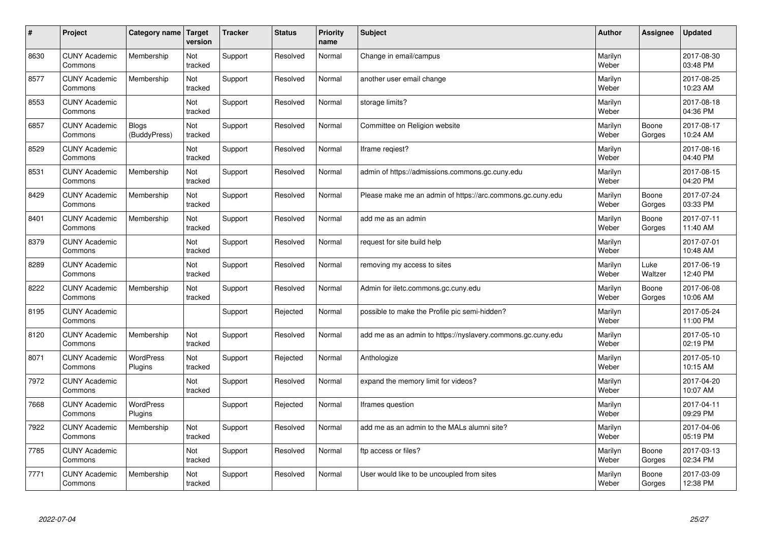| #    | Project                         | Category name         | <b>Target</b><br>version | <b>Tracker</b> | <b>Status</b> | <b>Priority</b><br>name | <b>Subject</b>                                              | <b>Author</b>    | Assignee        | <b>Updated</b>         |
|------|---------------------------------|-----------------------|--------------------------|----------------|---------------|-------------------------|-------------------------------------------------------------|------------------|-----------------|------------------------|
| 8630 | <b>CUNY Academic</b><br>Commons | Membership            | Not<br>tracked           | Support        | Resolved      | Normal                  | Change in email/campus                                      | Marilyn<br>Weber |                 | 2017-08-30<br>03:48 PM |
| 8577 | <b>CUNY Academic</b><br>Commons | Membership            | Not<br>tracked           | Support        | Resolved      | Normal                  | another user email change                                   | Marilyn<br>Weber |                 | 2017-08-25<br>10:23 AM |
| 8553 | <b>CUNY Academic</b><br>Commons |                       | Not<br>tracked           | Support        | Resolved      | Normal                  | storage limits?                                             | Marilyn<br>Weber |                 | 2017-08-18<br>04:36 PM |
| 6857 | <b>CUNY Academic</b><br>Commons | Blogs<br>(BuddyPress) | Not<br>tracked           | Support        | Resolved      | Normal                  | Committee on Religion website                               | Marilyn<br>Weber | Boone<br>Gorges | 2017-08-17<br>10:24 AM |
| 8529 | <b>CUNY Academic</b><br>Commons |                       | Not<br>tracked           | Support        | Resolved      | Normal                  | Iframe reqiest?                                             | Marilyn<br>Weber |                 | 2017-08-16<br>04:40 PM |
| 8531 | <b>CUNY Academic</b><br>Commons | Membership            | Not<br>tracked           | Support        | Resolved      | Normal                  | admin of https://admissions.commons.gc.cuny.edu             | Marilyn<br>Weber |                 | 2017-08-15<br>04:20 PM |
| 8429 | <b>CUNY Academic</b><br>Commons | Membership            | Not<br>tracked           | Support        | Resolved      | Normal                  | Please make me an admin of https://arc.commons.gc.cuny.edu  | Marilyn<br>Weber | Boone<br>Gorges | 2017-07-24<br>03:33 PM |
| 8401 | <b>CUNY Academic</b><br>Commons | Membership            | Not<br>tracked           | Support        | Resolved      | Normal                  | add me as an admin                                          | Marilyn<br>Weber | Boone<br>Gorges | 2017-07-11<br>11:40 AM |
| 8379 | <b>CUNY Academic</b><br>Commons |                       | Not<br>tracked           | Support        | Resolved      | Normal                  | request for site build help                                 | Marilyn<br>Weber |                 | 2017-07-01<br>10:48 AM |
| 8289 | <b>CUNY Academic</b><br>Commons |                       | Not<br>tracked           | Support        | Resolved      | Normal                  | removing my access to sites                                 | Marilyn<br>Weber | Luke<br>Waltzer | 2017-06-19<br>12:40 PM |
| 8222 | <b>CUNY Academic</b><br>Commons | Membership            | Not<br>tracked           | Support        | Resolved      | Normal                  | Admin for iletc.commons.gc.cuny.edu                         | Marilyn<br>Weber | Boone<br>Gorges | 2017-06-08<br>10:06 AM |
| 8195 | <b>CUNY Academic</b><br>Commons |                       |                          | Support        | Rejected      | Normal                  | possible to make the Profile pic semi-hidden?               | Marilyn<br>Weber |                 | 2017-05-24<br>11:00 PM |
| 8120 | <b>CUNY Academic</b><br>Commons | Membership            | Not<br>tracked           | Support        | Resolved      | Normal                  | add me as an admin to https://nyslavery.commons.gc.cuny.edu | Marilyn<br>Weber |                 | 2017-05-10<br>02:19 PM |
| 8071 | <b>CUNY Academic</b><br>Commons | WordPress<br>Plugins  | Not<br>tracked           | Support        | Rejected      | Normal                  | Anthologize                                                 | Marilyn<br>Weber |                 | 2017-05-10<br>10:15 AM |
| 7972 | <b>CUNY Academic</b><br>Commons |                       | Not<br>tracked           | Support        | Resolved      | Normal                  | expand the memory limit for videos?                         | Marilyn<br>Weber |                 | 2017-04-20<br>10:07 AM |
| 7668 | <b>CUNY Academic</b><br>Commons | WordPress<br>Plugins  |                          | Support        | Rejected      | Normal                  | Iframes question                                            | Marilyn<br>Weber |                 | 2017-04-11<br>09:29 PM |
| 7922 | <b>CUNY Academic</b><br>Commons | Membership            | Not<br>tracked           | Support        | Resolved      | Normal                  | add me as an admin to the MALs alumni site?                 | Marilyn<br>Weber |                 | 2017-04-06<br>05:19 PM |
| 7785 | <b>CUNY Academic</b><br>Commons |                       | Not<br>tracked           | Support        | Resolved      | Normal                  | ftp access or files?                                        | Marilyn<br>Weber | Boone<br>Gorges | 2017-03-13<br>02:34 PM |
| 7771 | <b>CUNY Academic</b><br>Commons | Membership            | Not<br>tracked           | Support        | Resolved      | Normal                  | User would like to be uncoupled from sites                  | Marilyn<br>Weber | Boone<br>Gorges | 2017-03-09<br>12:38 PM |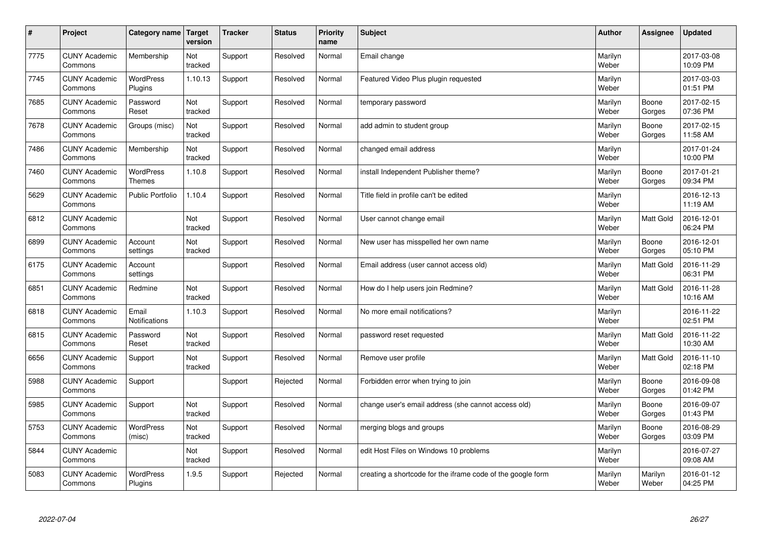| $\sharp$ | Project                         | Category name   Target        | version        | <b>Tracker</b> | <b>Status</b> | <b>Priority</b><br>name | <b>Subject</b>                                              | <b>Author</b>    | Assignee         | <b>Updated</b>         |
|----------|---------------------------------|-------------------------------|----------------|----------------|---------------|-------------------------|-------------------------------------------------------------|------------------|------------------|------------------------|
| 7775     | <b>CUNY Academic</b><br>Commons | Membership                    | Not<br>tracked | Support        | Resolved      | Normal                  | Email change                                                | Marilyn<br>Weber |                  | 2017-03-08<br>10:09 PM |
| 7745     | <b>CUNY Academic</b><br>Commons | <b>WordPress</b><br>Plugins   | 1.10.13        | Support        | Resolved      | Normal                  | Featured Video Plus plugin requested                        | Marilyn<br>Weber |                  | 2017-03-03<br>01:51 PM |
| 7685     | <b>CUNY Academic</b><br>Commons | Password<br>Reset             | Not<br>tracked | Support        | Resolved      | Normal                  | temporary password                                          | Marilyn<br>Weber | Boone<br>Gorges  | 2017-02-15<br>07:36 PM |
| 7678     | <b>CUNY Academic</b><br>Commons | Groups (misc)                 | Not<br>tracked | Support        | Resolved      | Normal                  | add admin to student group                                  | Marilyn<br>Weber | Boone<br>Gorges  | 2017-02-15<br>11:58 AM |
| 7486     | <b>CUNY Academic</b><br>Commons | Membership                    | Not<br>tracked | Support        | Resolved      | Normal                  | changed email address                                       | Marilyn<br>Weber |                  | 2017-01-24<br>10:00 PM |
| 7460     | <b>CUNY Academic</b><br>Commons | WordPress<br><b>Themes</b>    | 1.10.8         | Support        | Resolved      | Normal                  | install Independent Publisher theme?                        | Marilyn<br>Weber | Boone<br>Gorges  | 2017-01-21<br>09:34 PM |
| 5629     | <b>CUNY Academic</b><br>Commons | Public Portfolio              | 1.10.4         | Support        | Resolved      | Normal                  | Title field in profile can't be edited                      | Marilyn<br>Weber |                  | 2016-12-13<br>11:19 AM |
| 6812     | <b>CUNY Academic</b><br>Commons |                               | Not<br>tracked | Support        | Resolved      | Normal                  | User cannot change email                                    | Marilyn<br>Weber | Matt Gold        | 2016-12-01<br>06:24 PM |
| 6899     | <b>CUNY Academic</b><br>Commons | Account<br>settings           | Not<br>tracked | Support        | Resolved      | Normal                  | New user has misspelled her own name                        | Marilyn<br>Weber | Boone<br>Gorges  | 2016-12-01<br>05:10 PM |
| 6175     | <b>CUNY Academic</b><br>Commons | Account<br>settings           |                | Support        | Resolved      | Normal                  | Email address (user cannot access old)                      | Marilyn<br>Weber | Matt Gold        | 2016-11-29<br>06:31 PM |
| 6851     | <b>CUNY Academic</b><br>Commons | Redmine                       | Not<br>tracked | Support        | Resolved      | Normal                  | How do I help users join Redmine?                           | Marilyn<br>Weber | Matt Gold        | 2016-11-28<br>10:16 AM |
| 6818     | <b>CUNY Academic</b><br>Commons | Email<br><b>Notifications</b> | 1.10.3         | Support        | Resolved      | Normal                  | No more email notifications?                                | Marilyn<br>Weber |                  | 2016-11-22<br>02:51 PM |
| 6815     | <b>CUNY Academic</b><br>Commons | Password<br>Reset             | Not<br>tracked | Support        | Resolved      | Normal                  | password reset requested                                    | Marilyn<br>Weber | Matt Gold        | 2016-11-22<br>10:30 AM |
| 6656     | <b>CUNY Academic</b><br>Commons | Support                       | Not<br>tracked | Support        | Resolved      | Normal                  | Remove user profile                                         | Marilyn<br>Weber | Matt Gold        | 2016-11-10<br>02:18 PM |
| 5988     | <b>CUNY Academic</b><br>Commons | Support                       |                | Support        | Rejected      | Normal                  | Forbidden error when trying to join                         | Marilyn<br>Weber | Boone<br>Gorges  | 2016-09-08<br>01:42 PM |
| 5985     | <b>CUNY Academic</b><br>Commons | Support                       | Not<br>tracked | Support        | Resolved      | Normal                  | change user's email address (she cannot access old)         | Marilyn<br>Weber | Boone<br>Gorges  | 2016-09-07<br>01:43 PM |
| 5753     | <b>CUNY Academic</b><br>Commons | WordPress<br>(misc)           | Not<br>tracked | Support        | Resolved      | Normal                  | merging blogs and groups                                    | Marilyn<br>Weber | Boone<br>Gorges  | 2016-08-29<br>03:09 PM |
| 5844     | <b>CUNY Academic</b><br>Commons |                               | Not<br>tracked | Support        | Resolved      | Normal                  | edit Host Files on Windows 10 problems                      | Marilyn<br>Weber |                  | 2016-07-27<br>09:08 AM |
| 5083     | <b>CUNY Academic</b><br>Commons | <b>WordPress</b><br>Plugins   | 1.9.5          | Support        | Rejected      | Normal                  | creating a shortcode for the iframe code of the google form | Marilyn<br>Weber | Marilyn<br>Weber | 2016-01-12<br>04:25 PM |